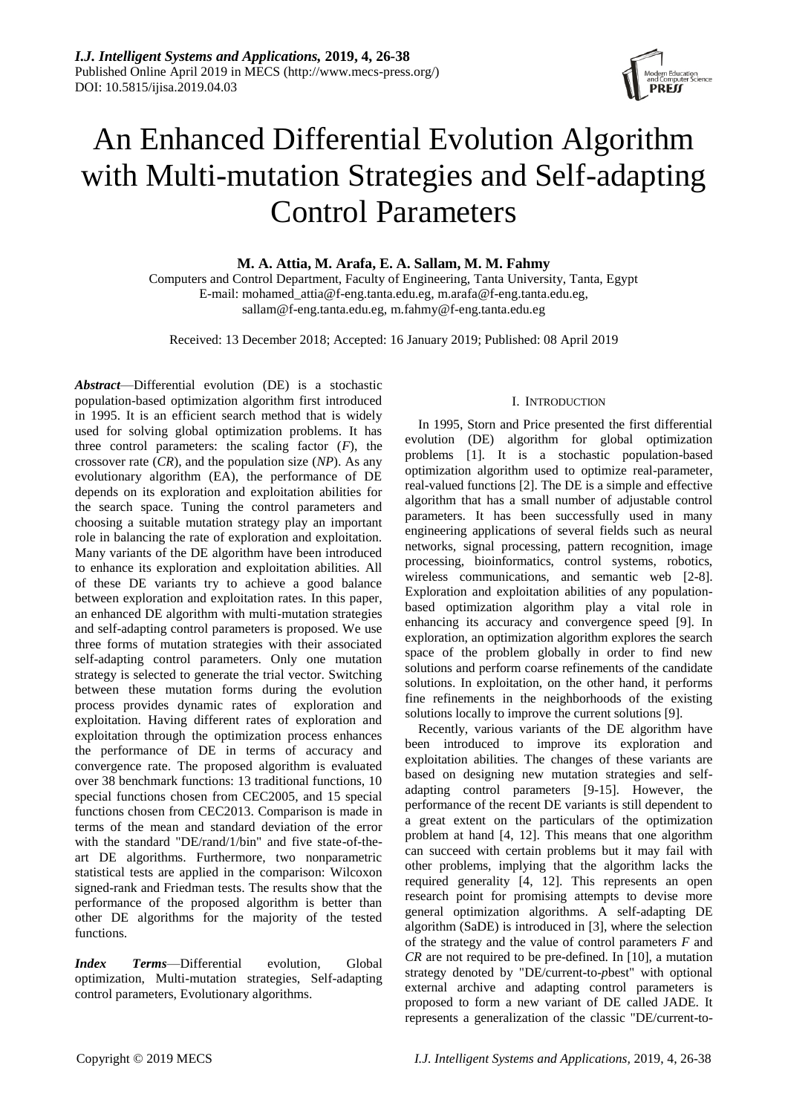

# An Enhanced Differential Evolution Algorithm with Multi-mutation Strategies and Self-adapting Control Parameters

**M. A. Attia, M. Arafa, E. A. Sallam, M. M. Fahmy**

Computers and Control Department, Faculty of Engineering, Tanta University, Tanta, Egypt E-mail: mohamed\_attia@f-eng.tanta.edu.eg, m.arafa@f-eng.tanta.edu.eg, sallam@f-eng.tanta.edu.eg, m.fahmy@f-eng.tanta.edu.eg

Received: 13 December 2018; Accepted: 16 January 2019; Published: 08 April 2019

*Abstract*—Differential evolution (DE) is a stochastic population-based optimization algorithm first introduced in 1995. It is an efficient search method that is widely used for solving global optimization problems. It has three control parameters: the scaling factor  $(F)$ , the crossover rate (*CR*), and the population size (*NP*). As any evolutionary algorithm (EA), the performance of DE depends on its exploration and exploitation abilities for the search space. Tuning the control parameters and choosing a suitable mutation strategy play an important role in balancing the rate of exploration and exploitation. Many variants of the DE algorithm have been introduced to enhance its exploration and exploitation abilities. All of these DE variants try to achieve a good balance between exploration and exploitation rates. In this paper, an enhanced DE algorithm with multi-mutation strategies and self-adapting control parameters is proposed. We use three forms of mutation strategies with their associated self-adapting control parameters. Only one mutation strategy is selected to generate the trial vector. Switching between these mutation forms during the evolution process provides dynamic rates of exploration and exploitation. Having different rates of exploration and exploitation through the optimization process enhances the performance of DE in terms of accuracy and convergence rate. The proposed algorithm is evaluated over 38 benchmark functions: 13 traditional functions, 10 special functions chosen from CEC2005, and 15 special functions chosen from CEC2013. Comparison is made in terms of the mean and standard deviation of the error with the standard "DE/rand/1/bin" and five state-of-theart DE algorithms. Furthermore, two nonparametric statistical tests are applied in the comparison: Wilcoxon signed-rank and Friedman tests. The results show that the performance of the proposed algorithm is better than other DE algorithms for the majority of the tested functions.

*Index Terms*—Differential evolution, Global optimization, Multi-mutation strategies, Self-adapting control parameters, Evolutionary algorithms.

# I. INTRODUCTION

In 1995, Storn and Price presented the first differential evolution (DE) algorithm for global optimization problems [1]. It is a stochastic population-based optimization algorithm used to optimize real-parameter, real-valued functions [2]. The DE is a simple and effective algorithm that has a small number of adjustable control parameters. It has been successfully used in many engineering applications of several fields such as neural networks, signal processing, pattern recognition, image processing, bioinformatics, control systems, robotics, wireless communications, and semantic web [2-8]. Exploration and exploitation abilities of any populationbased optimization algorithm play a vital role in enhancing its accuracy and convergence speed [9]. In exploration, an optimization algorithm explores the search space of the problem globally in order to find new solutions and perform coarse refinements of the candidate solutions. In exploitation, on the other hand, it performs fine refinements in the neighborhoods of the existing solutions locally to improve the current solutions [9].

Recently, various variants of the DE algorithm have been introduced to improve its exploration and exploitation abilities. The changes of these variants are based on designing new mutation strategies and selfadapting control parameters [9-15]. However, the performance of the recent DE variants is still dependent to a great extent on the particulars of the optimization problem at hand [4, 12]. This means that one algorithm can succeed with certain problems but it may fail with other problems, implying that the algorithm lacks the required generality [4, 12]. This represents an open research point for promising attempts to devise more general optimization algorithms. A self-adapting DE algorithm (SaDE) is introduced in [3], where the selection of the strategy and the value of control parameters *F* and *CR* are not required to be pre-defined. In [10], a mutation strategy denoted by "DE/current-to-*p*best" with optional external archive and adapting control parameters is proposed to form a new variant of DE called JADE. It represents a generalization of the classic "DE/current-to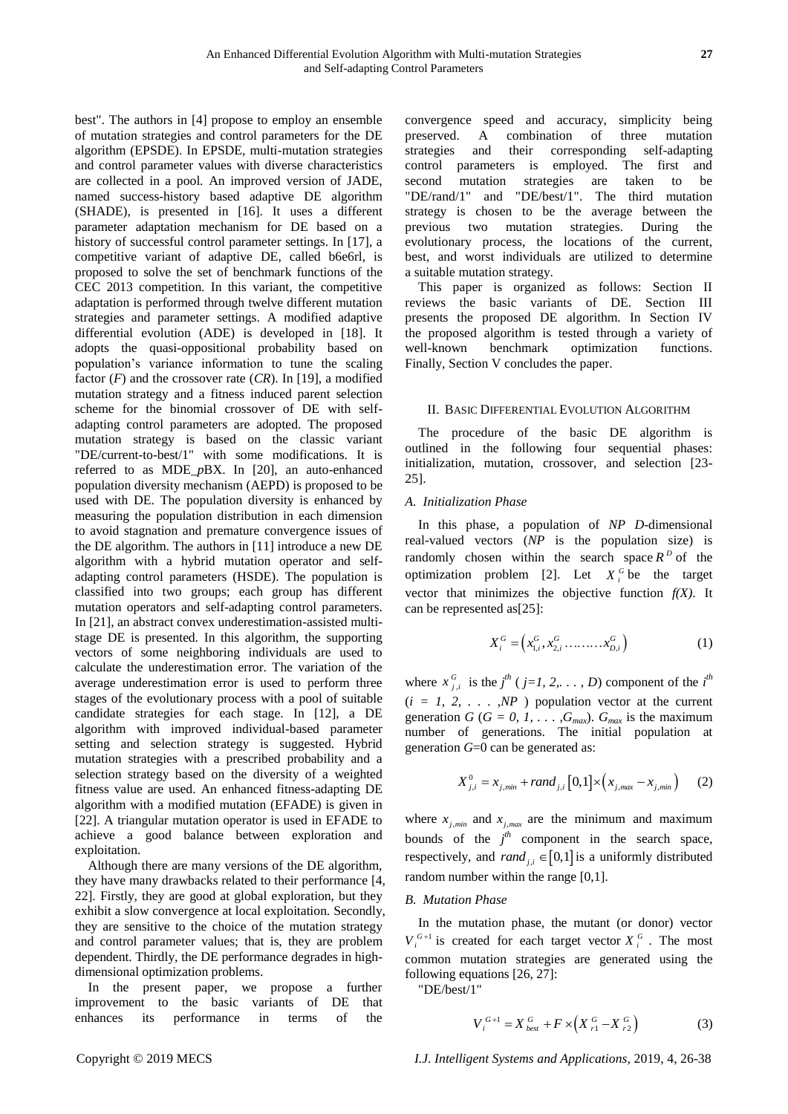best". The authors in [4] propose to employ an ensemble of mutation strategies and control parameters for the DE algorithm (EPSDE). In EPSDE, multi-mutation strategies and control parameter values with diverse characteristics are collected in a pool. An improved version of JADE, named success-history based adaptive DE algorithm (SHADE), is presented in [16]. It uses a different parameter adaptation mechanism for DE based on a history of successful control parameter settings. In [17], a competitive variant of adaptive DE, called b6e6rl, is proposed to solve the set of benchmark functions of the CEC 2013 competition. In this variant, the competitive adaptation is performed through twelve different mutation strategies and parameter settings. A modified adaptive differential evolution (ADE) is developed in [18]. It adopts the quasi-oppositional probability based on population's variance information to tune the scaling factor  $(F)$  and the crossover rate  $(CR)$ . In [19], a modified mutation strategy and a fitness induced parent selection scheme for the binomial crossover of DE with selfadapting control parameters are adopted. The proposed mutation strategy is based on the classic variant "DE/current-to-best/1" with some modifications. It is referred to as MDE\_*p*BX. In [20], an auto-enhanced population diversity mechanism (AEPD) is proposed to be used with DE. The population diversity is enhanced by measuring the population distribution in each dimension to avoid stagnation and premature convergence issues of the DE algorithm. The authors in [11] introduce a new DE algorithm with a hybrid mutation operator and selfadapting control parameters (HSDE). The population is classified into two groups; each group has different mutation operators and self-adapting control parameters. In [21], an abstract convex underestimation-assisted multistage DE is presented. In this algorithm, the supporting vectors of some neighboring individuals are used to calculate the underestimation error. The variation of the average underestimation error is used to perform three stages of the evolutionary process with a pool of suitable candidate strategies for each stage. In [12], a DE algorithm with improved individual-based parameter setting and selection strategy is suggested. Hybrid mutation strategies with a prescribed probability and a selection strategy based on the diversity of a weighted fitness value are used. An enhanced fitness-adapting DE algorithm with a modified mutation (EFADE) is given in [22]. A triangular mutation operator is used in EFADE to achieve a good balance between exploration and exploitation.

Although there are many versions of the DE algorithm, they have many drawbacks related to their performance [4, 22]. Firstly, they are good at global exploration, but they exhibit a slow convergence at local exploitation. Secondly, they are sensitive to the choice of the mutation strategy and control parameter values; that is, they are problem dependent. Thirdly, the DE performance degrades in highdimensional optimization problems.

In the present paper, we propose a further improvement to the basic variants of DE that enhances its performance in terms of the convergence speed and accuracy, simplicity being preserved. A combination of three mutation strategies and their corresponding self-adapting control parameters is employed. The first and second mutation strategies are taken to be "DE/rand/1" and "DE/best/1". The third mutation strategy is chosen to be the average between the previous two mutation strategies. During the evolutionary process, the locations of the current, best, and worst individuals are utilized to determine a suitable mutation strategy.

This paper is organized as follows: Section II reviews the basic variants of DE. Section III presents the proposed DE algorithm. In Section IV the proposed algorithm is tested through a variety of well-known benchmark optimization functions. Finally, Section V concludes the paper.

## II. BASIC DIFFERENTIAL EVOLUTION ALGORITHM

The procedure of the basic DE algorithm is outlined in the following four sequential phases: initialization, mutation, crossover, and selection [23-25].

# *A. Initialization Phase*

In this phase, a population of *NP D*-dimensional real-valued vectors (*NP* is the population size) is randomly chosen within the search space  $R<sup>D</sup>$  of the optimization problem [2]. Let  $X_i^G$  be the target vector that minimizes the objective function  $f(X)$ . It can be represented as[25]:

$$
X_i^G = (x_{1,i}^G, x_{2,i}^G, \dots, x_{D,i}^G)
$$
 (1)

where  $x_{j,i}^G$  is the  $j^{th}$  ( $j=1, 2, \ldots, D$ ) component of the  $i^{th}$  $(i = 1, 2, \ldots, NP)$  population vector at the current generation  $G$  ( $G = 0, 1, \ldots, G_{max}$ ).  $G_{max}$  is the maximum number of generations. The initial population at generation *G*=0 can be generated as:

$$
X_{j,i}^0 = x_{j,min} + rand_{j,i} [0,1] \times (x_{j,max} - x_{j,min}) \qquad (2)
$$

where  $x_{j,min}$  and  $x_{j,max}$  are the minimum and maximum bounds of the  $j<sup>th</sup>$  component in the search space, respectively, and  $rand_{j,i} \in [0,1]$  is a uniformly distributed random number within the range [0,1].

#### *B. Mutation Phase*

In the mutation phase, the mutant (or donor) vector  $V_i^{G+1}$  is created for each target vector  $X_i^G$ . The most common mutation strategies are generated using the following equations [26, 27]:

"DE/best/1"

$$
V_i^{G+1} = X_{best}^G + F \times (X_{r1}^G - X_{r2}^G)
$$
 (3)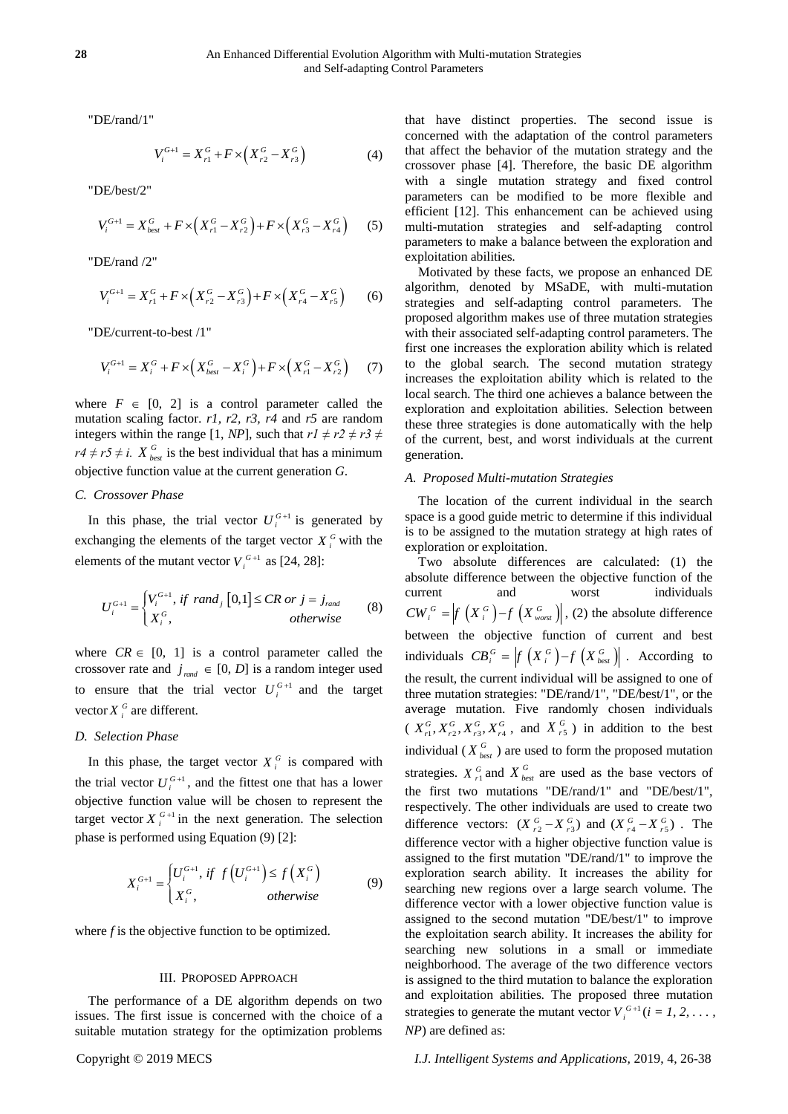"DE/rand/1"

$$
V_i^{G+1} = X_{r1}^G + F \times (X_{r2}^G - X_{r3}^G)
$$
 (4)

"DE/best/2"

$$
V_i^{G+1} = X_{best}^G + F \times (X_{r1}^G - X_{r2}^G) + F \times (X_{r3}^G - X_{r4}^G) \tag{5}
$$

"DE/rand /2"

$$
V_i^{G+1} = X_{r1}^G + F \times (X_{r2}^G - X_{r3}^G) + F \times (X_{r4}^G - X_{r5}^G) \tag{6}
$$

"DE/current-to-best /1"

$$
V_i^{G+1} = X_i^G + F \times \left(X_{best}^G - X_i^G\right) + F \times \left(X_{r1}^G - X_{r2}^G\right) \tag{7}
$$

where  $F \in [0, 2]$  is a control parameter called the mutation scaling factor. *r1, r2, r3, r4* and *r5* are random integers within the range [1, *NP*], such that  $r1 \neq r2 \neq r3 \neq$  $r4 \neq r5 \neq i$ .  $X_{best}^G$  is the best individual that has a minimum objective function value at the current generation *G*.

## *C. Crossover Phase*

In this phase, the trial vector  $U_i^{G+1}$  is generated by exchanging the elements of the target vector  $X_i^G$  with the elements of the mutant vector  $V_i^{G+1}$  as [24, 28]:

$$
U_i^{G+1} = \begin{cases} V_i^{G+1}, & if \ \text{rand}_j \ [0,1] \le CR \ \text{or} \ j = j_{\text{rand}} \\ X_i^G, & otherwise \end{cases} \tag{8}
$$

where  $CR \in [0, 1]$  is a control parameter called the crossover rate and  $j_{\text{rand}} \in [0, D]$  is a random integer used to ensure that the trial vector  $U_i^{G+1}$  and the target vector  $X_i^G$  are different.

# *D. Selection Phase*

In this phase, the target vector  $X_i^G$  is compared with the trial vector  $U_i^{G+1}$ , and the fittest one that has a lower objective function value will be chosen to represent the target vector  $X_i^{G+1}$  in the next generation. The selection phase is performed using Equation (9) [2]:

$$
X_i^{G+1} = \begin{cases} U_i^{G+1}, & if \ f\left(U_i^{G+1}\right) \le f\left(X_i^G\right) \\ X_i^G, & otherwise \end{cases} \tag{9}
$$

where *f* is the objective function to be optimized.

# III. PROPOSED APPROACH

The performance of a DE algorithm depends on two issues. The first issue is concerned with the choice of a suitable mutation strategy for the optimization problems

that have distinct properties. The second issue is concerned with the adaptation of the control parameters that affect the behavior of the mutation strategy and the crossover phase [4]. Therefore, the basic DE algorithm with a single mutation strategy and fixed control parameters can be modified to be more flexible and efficient [12]. This enhancement can be achieved using multi-mutation strategies and self-adapting control parameters to make a balance between the exploration and exploitation abilities.

Motivated by these facts, we propose an enhanced DE algorithm, denoted by MSaDE, with multi-mutation strategies and self-adapting control parameters. The proposed algorithm makes use of three mutation strategies with their associated self-adapting control parameters. The first one increases the exploration ability which is related to the global search. The second mutation strategy increases the exploitation ability which is related to the local search. The third one achieves a balance between the exploration and exploitation abilities. Selection between these three strategies is done automatically with the help of the current, best, and worst individuals at the current generation.

#### *A. Proposed Multi-mutation Strategies*

The location of the current individual in the search space is a good guide metric to determine if this individual is to be assigned to the mutation strategy at high rates of exploration or exploitation.

Two absolute differences are calculated: (1) the absolute difference between the objective function of the current and worst individuals  $CW_i^G = \Big| f\left(X_i^G\right) - f\left(X_{worst}^G\right) \Big|$ , (2) the absolute difference between the objective function of current and best individuals  $CB_i^G = \left| f\left(X_i^G\right) - f\left(X_{best}^G\right) \right|$ . According to the result, the current individual will be assigned to one of three mutation strategies: "DE/rand/1", "DE/best/1", or the average mutation. Five randomly chosen individuals  $(X_{r_1}^G, X_{r_2}^G, X_{r_3}^G, X_{r_4}^G$ , and  $(X_{r_5}^G)$  in addition to the best individual ( $X_{best}^G$ ) are used to form the proposed mutation strategies.  $X_{r1}^G$  and  $X_{best}^G$  are used as the base vectors of the first two mutations "DE/rand/1" and "DE/best/1", respectively. The other individuals are used to create two difference vectors:  $(X_{r_2}^G - X_{r_3}^G)$  and  $(X_{r_4}^G - X_{r_5}^G)$ . The difference vector with a higher objective function value is assigned to the first mutation "DE/rand/1" to improve the exploration search ability. It increases the ability for searching new regions over a large search volume. The difference vector with a lower objective function value is assigned to the second mutation "DE/best/1" to improve the exploitation search ability. It increases the ability for searching new solutions in a small or immediate neighborhood. The average of the two difference vectors is assigned to the third mutation to balance the exploration and exploitation abilities. The proposed three mutation strategies to generate the mutant vector  $V_i^{G+1}$  ( $i = 1, 2, \ldots$ , *NP*) are defined as: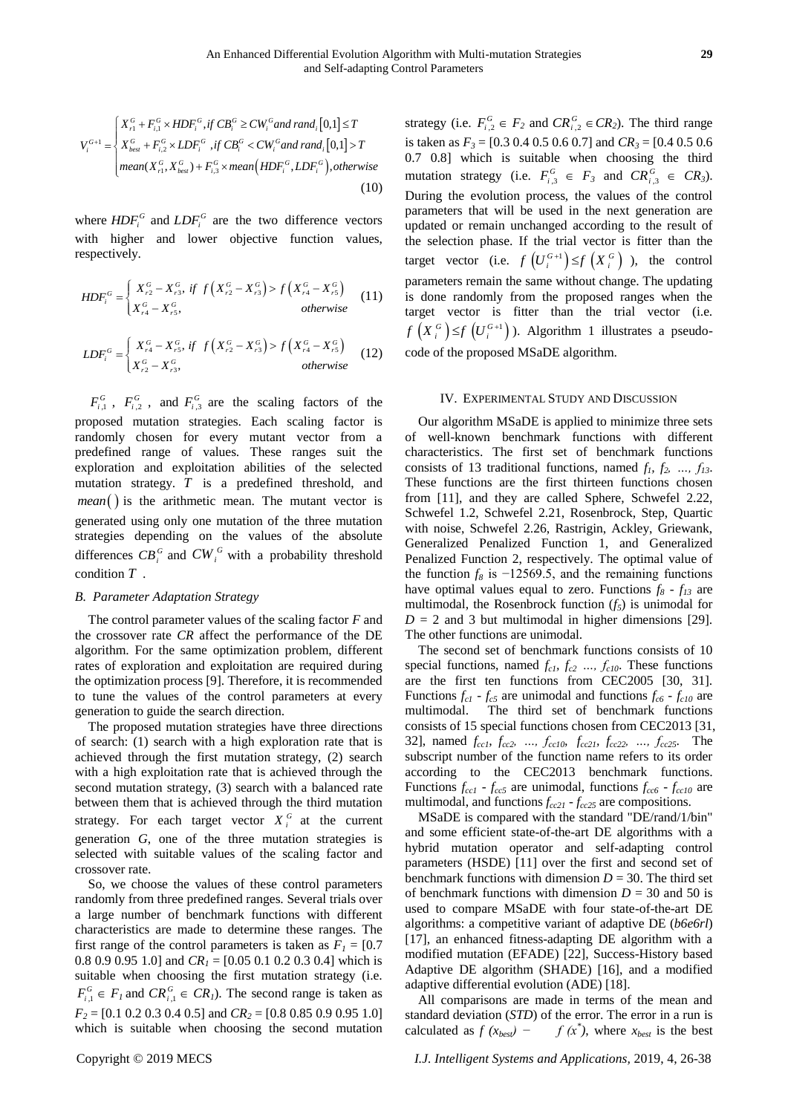$$
V_i^{G+1} = \begin{cases} X_{r1}^G + F_{i,1}^G \times HDF_i^G, if CB_i^G \ge CW_i^G \text{ and } rand_i[0,1] \le T \\ X_{best}^G + F_{i,2}^G \times LDF_i^G, if CB_i^G < CW_i^G \text{ and } rand_i[0,1] > T \\ \text{mean}(X_{r1}^G, X_{best}^G) + F_{i,3}^G \times \text{mean}\left(HDF_i^G, LDF_i^G\right), otherwise \end{cases}
$$
(10)

where  $HDF_i^G$  and  $LDF_i^G$  are the two difference vectors with higher and lower objective function values, respectively.

$$
HDF_i^G = \begin{cases} X_{r2}^G - X_{r3}^G, & \text{if } f\left(X_{r2}^G - X_{r3}^G\right) > f\left(X_{r4}^G - X_{r5}^G\right) \\ X_{r4}^G - X_{r5}^G, & \text{otherwise} \end{cases}
$$
(11)

$$
LDF_i^G = \begin{cases} X_{r4}^G - X_{r5}^G, & \text{if } f\left(X_{r2}^G - X_{r3}^G\right) > f\left(X_{r4}^G - X_{r5}^G\right) \\ X_{r2}^G - X_{r3}^G, & \text{otherwise} \end{cases}
$$
(12)

 $F_{i,1}^G$ ,  $F_{i,2}^G$ , and  $F_{i,3}^G$  are the scaling factors of the proposed mutation strategies. Each scaling factor is randomly chosen for every mutant vector from a predefined range of values. These ranges suit the exploration and exploitation abilities of the selected mutation strategy. *T* is a predefined threshold, and  $mean()$  is the arithmetic mean. The mutant vector is generated using only one mutation of the three mutation strategies depending on the values of the absolute differences  $CB_i^G$  and  $CW_i^G$  with a probability threshold condition *T* .

#### *B. Parameter Adaptation Strategy*

The control parameter values of the scaling factor *F* and the crossover rate *CR* affect the performance of the DE algorithm. For the same optimization problem, different rates of exploration and exploitation are required during the optimization process [9]. Therefore, it is recommended to tune the values of the control parameters at every generation to guide the search direction.

The proposed mutation strategies have three directions of search: (1) search with a high exploration rate that is achieved through the first mutation strategy, (2) search with a high exploitation rate that is achieved through the second mutation strategy, (3) search with a balanced rate between them that is achieved through the third mutation strategy. For each target vector  $X_i^G$  at the current generation *G*, one of the three mutation strategies is selected with suitable values of the scaling factor and crossover rate.

So, we choose the values of these control parameters randomly from three predefined ranges. Several trials over a large number of benchmark functions with different characteristics are made to determine these ranges. The first range of the control parameters is taken as  $F_I = [0.7]$ 0.8 0.9 0.95 1.0] and *CR<sup>1</sup>* = [0.05 0.1 0.2 0.3 0.4] which is suitable when choosing the first mutation strategy (i.e.  $F_{i,1}^G \in F_I$  and  $CR_{i,1}^G \in CR_I$ ). The second range is taken as *F<sup>2</sup>* = [0.1 0.2 0.3 0.4 0.5] and *CR<sup>2</sup>* = [0.8 0.85 0.9 0.95 1.0] which is suitable when choosing the second mutation

strategy (i.e.  $F_{i,2}^G \in F_2$  and  $CR_{i,2}^G \in CR_2$ ). The third range is taken as  $F_3 = [0.3 \ 0.4 \ 0.5 \ 0.6 \ 0.7]$  and  $CR_3 = [0.4 \ 0.5 \ 0.6 \ 0.7]$ 0.7 0.8] which is suitable when choosing the third mutation strategy (i.e.  $F_{i,3}^G \in F_3$  and  $CR_{i,3}^G \in CR_3$ ). During the evolution process, the values of the control parameters that will be used in the next generation are updated or remain unchanged according to the result of the selection phase. If the trial vector is fitter than the target vector (i.e.  $f\left(U_i^{G+1}\right) \leq f\left(X_i^G\right)$ ), the control parameters remain the same without change. The updating is done randomly from the proposed ranges when the target vector is fitter than the trial vector (i.e.  $f\left(X_i^G\right) \leq f\left(U_i^{G+1}\right)$ ). Algorithm 1 illustrates a pseudocode of the proposed MSaDE algorithm.

#### IV. EXPERIMENTAL STUDY AND DISCUSSION

Our algorithm MSaDE is applied to minimize three sets of well-known benchmark functions with different characteristics. The first set of benchmark functions consists of 13 traditional functions, named  $f_1$ ,  $f_2$ , ...,  $f_{13}$ . These functions are the first thirteen functions chosen from [11], and they are called Sphere, Schwefel 2.22, Schwefel 1.2, Schwefel 2.21, Rosenbrock, Step, Quartic with noise, Schwefel 2.26, Rastrigin, Ackley, Griewank, Generalized Penalized Function 1, and Generalized Penalized Function 2, respectively. The optimal value of the function  $f_8$  is  $-12569.5$ , and the remaining functions have optimal values equal to zero. Functions  $f_8 - f_{13}$  are multimodal, the Rosenbrock function  $(f_5)$  is unimodal for  $D = 2$  and 3 but multimodal in higher dimensions [29]. The other functions are unimodal.

The second set of benchmark functions consists of 10 special functions, named *fc1, fc2 …, fc10*. These functions are the first ten functions from CEC2005 [30, 31]. Functions  $f_{c1}$  -  $f_{c5}$  are unimodal and functions  $f_{c6}$  -  $f_{c10}$  are multimodal. The third set of benchmark functions consists of 15 special functions chosen from CEC2013 [31, 32], named *fcc1, fcc2, …, fcc10, fcc21, fcc22, …, fcc25*. The subscript number of the function name refers to its order according to the CEC2013 benchmark functions. Functions  $f_{cc1}$  -  $f_{cc5}$  are unimodal, functions  $f_{cc6}$  -  $f_{cc10}$  are multimodal, and functions *fcc21* - *fcc25* are compositions.

MSaDE is compared with the standard "DE/rand/1/bin" and some efficient state-of-the-art DE algorithms with a hybrid mutation operator and self-adapting control parameters (HSDE) [11] over the first and second set of benchmark functions with dimension  $D = 30$ . The third set of benchmark functions with dimension  $D = 30$  and 50 is used to compare MSaDE with four state-of-the-art DE algorithms: a competitive variant of adaptive DE (*b6e6rl*) [17], an enhanced fitness-adapting DE algorithm with a modified mutation (EFADE) [22], Success-History based Adaptive DE algorithm (SHADE) [16], and a modified adaptive differential evolution (ADE) [18].

All comparisons are made in terms of the mean and standard deviation (*STD*) of the error. The error in a run is calculated as  $f(x_{best})$  $f(x)$ , where  $x_{best}$  is the best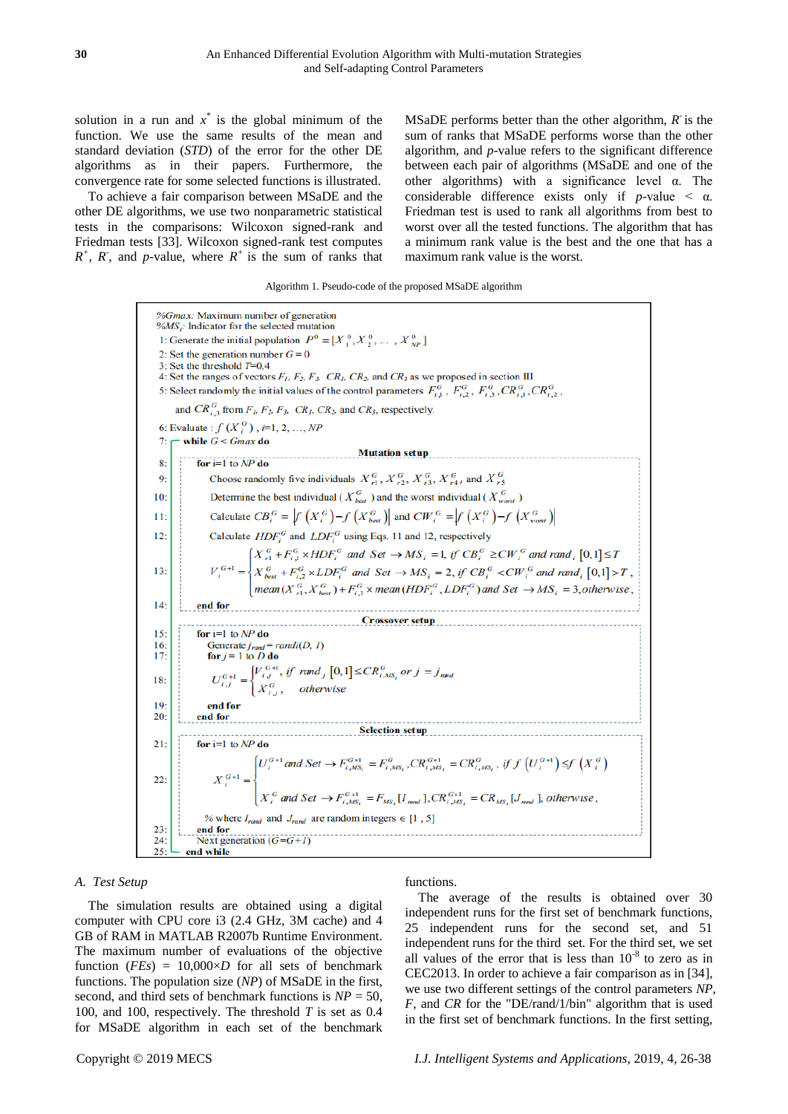solution in a run and  $x^*$  is the global minimum of the function. We use the same results of the mean and standard deviation (*STD*) of the error for the other DE algorithms as in their papers. Furthermore, the convergence rate for some selected functions is illustrated.

To achieve a fair comparison between MSaDE and the other DE algorithms, we use two nonparametric statistical tests in the comparisons: Wilcoxon signed-rank and Friedman tests [33]. Wilcoxon signed-rank test computes  $R^+$ ,  $R^-$ , and  $p$ -value, where  $R^+$  is the sum of ranks that

MSaDE performs better than the other algorithm,  $R$  is the sum of ranks that MSaDE performs worse than the other algorithm, and *p*-value refers to the significant difference between each pair of algorithms (MSaDE and one of the other algorithms) with a significance level  $\alpha$ . The considerable difference exists only if  $p$ -value  $\lt \alpha$ . Friedman test is used to rank all algorithms from best to worst over all the tested functions. The algorithm that has a minimum rank value is the best and the one that has a maximum rank value is the worst.

#### Algorithm 1. Pseudo-code of the proposed MSaDE algorithm

%Gmax: Maximum number of generation  $% MS_i$ : Indicator for the selected mutation 1: Generate the initial population  $P^0 = [X_1^0, X_2^0, \dots, X_{NP}^0]$ 2: Set the generation number  $G = 0$ 3: Set the threshold  $T=0.4$ 4: Set the ranges of vectors  $F_1$ ,  $F_2$ ,  $F_3$ ,  $CR_1$ ,  $CR_2$ , and  $CR_3$  as we proposed in section III 5: Select randomly the initial values of the control parameters  $F_{i_1}^G$ ,  $F_{i_2}^G$ ,  $F_{i_3}^G$ ,  $CR_{i_1}^G$ ,  $CR_{i_2}^G$ , and  $CR_{i,3}^G$  from  $F_l$ ,  $F_2$ ,  $F_3$ ,  $CR_l$ ,  $CR_2$ , and  $CR_3$ , respectively. 6: Evaluate :  $f(X_i^G)$ ,  $i=1, 2, ..., NP$ while  $G \leq Gmax$  do Mutation setup for  $i=1$  to  $NP$  do 8 Choose randomly five individuals  $X_{r1}^G$ ,  $X_{r2}^G$ ,  $X_{r3}^G$ ,  $X_{r4}^G$ , and  $X_{r5}^G$  $\overline{9}$ Determine the best individual (  $\boldsymbol{X}_{\textit{best}}^{\textit{G}}$  ) and the worst individual (  $\boldsymbol{X}_{\textit{worst}}^{\textit{G}}$  )  $10<sub>2</sub>$ Calculate  $CB_i^G = \left|f\left(X_i^G\right) - f\left(X_{best}^G\right)\right|$  and  $CW_i^G = \left|f\left(X_i^G\right) - f\left(X_{worst}^G\right)\right|$ 11 Calculate  $HDF_i^G$  and  $LDF_i^G$  using Eqs. 11 and 12, respectively  $12$  $\left[X_{r1}^G + F_{i,1}^G \times HDF_i^G \text{ and Set } \rightarrow MS_i = 1, \text{ if } CB_i^G \ge CW_i^G \text{ and } rand_i \ [0,1] \le T \right]$  $V_i^{G+1} = \begin{cases} X_{i1}^{G} + Y_{i,1}^{G} \land LDF_i^{G} \text{ and Set } \rightarrow MS_i = 1, & \text{if } CE_i^{G} \geq C W_i \text{ and } LID_i^{G} \mid 0,1] > T, \\ X_{best}^{G} + F_{i,2}^{G} \times LDF_i^{G} \text{ and Set } \rightarrow MS_i = 2, & \text{if } CB_i^{G} < CW_i^{G} \text{ and } rand_i \ [0,1] > T, \\ mean(X_{i1}^{G}, X_{best}^{G}) + F_{i,3}^{G} \times mean(HDF_i^{G}, LDF_i^{G}) \text{ and Set } \rightarrow MS_i = 3,$ 13 14 end for Crossover setup<br>
The Crossover setup<br>
In the Crossover setup<br>
In the Crossover setup<br>
In the Crossover setup<br>
In the Crossover setup<br>
In the Crossover setup<br>
In the Crossover setup<br>
In the Crossover setup<br>
In the Crossover for  $i=1$  to  $NP$  do  $15<sub>1</sub>$ Generate  $j_{rand} = randi(D, 1)$ <br>for  $j = 1$  to D do 16  $17$  $U_{i,j}^{G+1} = \begin{cases} V_{i,j}^{G+1}, & if \text{ rand }_j \left[0,1\right] \leq CR_{i,MS_j}^G \text{ or } j = j_{\text{ rand}} \\ X_{i,j}^G, & otherwise \end{cases}$  $18<sup>°</sup>$ 19 end for 20 end for **Selection setup** 21 for  $i=1$  to NP do  $\label{eq:chi} \begin{aligned} \boldsymbol{X}_i^{G+1}=&\begin{cases} \boldsymbol{U}_i^{G+1}\, \textit{and}\,\, \textit{Set} \rightarrow \boldsymbol{F}_{i,\mathit{MS}_i}^{G+1}=\boldsymbol{F}_{i,\mathit{MS}_i}^{G}, \, \textit{CR}_{i,\mathit{MS}_i}^{G+1}=\boldsymbol{CR}_{i,\mathit{MS}_i}^{G},\,\, \textit{if}\,\, f\left(\boldsymbol{U}_i^{G+1}\right) \leq & f\left(\boldsymbol{X}_i^{G}\right)\\ \boldsymbol{X}_i^{G}\, \textit{and}\,\, \textit{Set} \rightarrow \boldsymbol{F}_{i,\$  $22$ % where  $I_{rand}$  and  $J_{rand}$  are random integers  $\in [1\,,\,5]$ 23 end for Next generation  $(G=G+I)$  $24:$  $25$ end while

#### *A. Test Setup*

The simulation results are obtained using a digital computer with CPU core i3 (2.4 GHz, 3M cache) and 4 GB of RAM in MATLAB R2007b Runtime Environment. The maximum number of evaluations of the objective function  $(FEs) = 10,000 \times D$  for all sets of benchmark functions. The population size (*NP*) of MSaDE in the first, second, and third sets of benchmark functions is *NP* = 50, 100, and 100, respectively. The threshold *T* is set as 0.4 for MSaDE algorithm in each set of the benchmark

functions.

The average of the results is obtained over 30 independent runs for the first set of benchmark functions, 25 independent runs for the second set, and 51 independent runs for the third set. For the third set, we set all values of the error that is less than  $10^{-8}$  to zero as in CEC2013. In order to achieve a fair comparison as in [34], we use two different settings of the control parameters *NP*, *F*, and *CR* for the "DE/rand/1/bin" algorithm that is used in the first set of benchmark functions. In the first setting,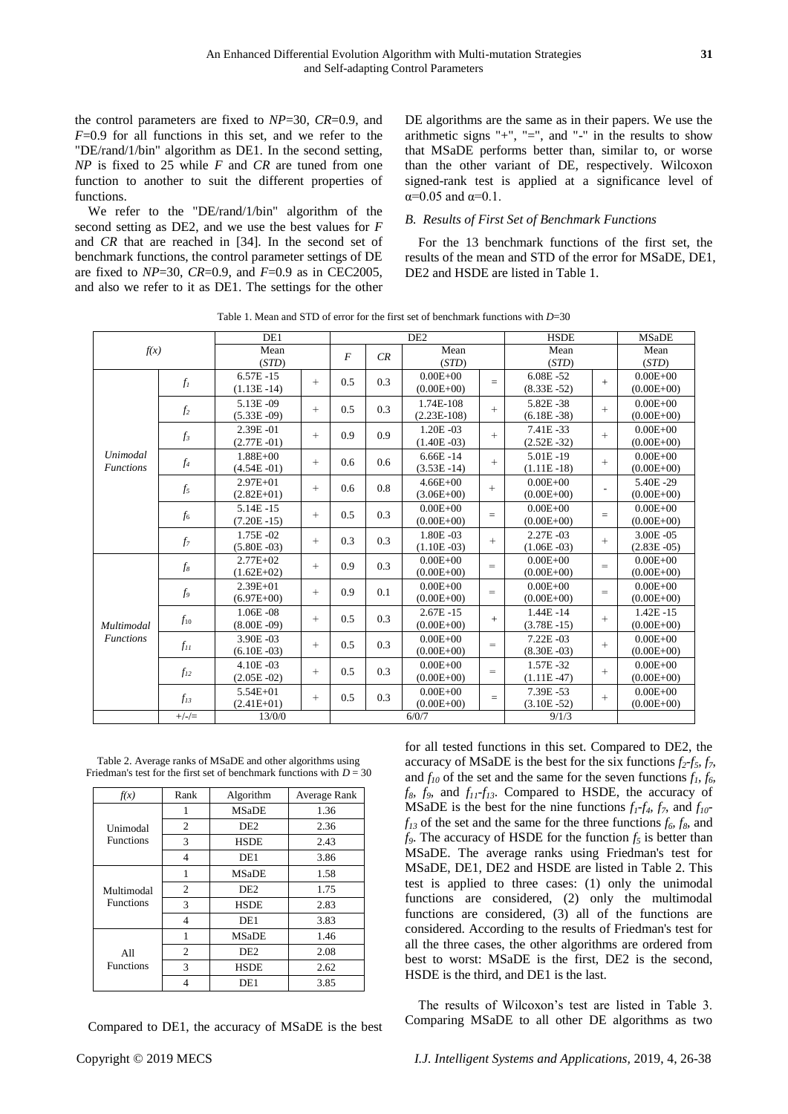the control parameters are fixed to *NP*=30, *CR*=0.9, and *F*=0.9 for all functions in this set, and we refer to the "DE/rand/1/bin" algorithm as DE1. In the second setting, *NP* is fixed to 25 while *F* and *CR* are tuned from one function to another to suit the different properties of functions.

We refer to the "DE/rand/1/bin" algorithm of the second setting as DE2, and we use the best values for *F* and *CR* that are reached in [34]. In the second set of benchmark functions, the control parameter settings of DE are fixed to *NP*=30, *CR*=0.9, and *F*=0.9 as in CEC2005, and also we refer to it as DE1. The settings for the other DE algorithms are the same as in their papers. We use the arithmetic signs "+", "=", and "-" in the results to show that MSaDE performs better than, similar to, or worse than the other variant of DE, respectively. Wilcoxon signed-rank test is applied at a significance level of  $\alpha$ =0.05 and  $\alpha$ =0.1.

# *B. Results of First Set of Benchmark Functions*

For the 13 benchmark functions of the first set, the results of the mean and STD of the error for MSaDE, DE1, DE2 and HSDE are listed in Table 1.

Table 1. Mean and STD of error for the first set of benchmark functions with *D*=30

|                                                         |          | DE1            |        |                |     | DE <sub>2</sub> |        | <b>HSDE</b>    |        | <b>MSaDE</b>   |
|---------------------------------------------------------|----------|----------------|--------|----------------|-----|-----------------|--------|----------------|--------|----------------|
| f(x)                                                    |          | Mean           |        | $\overline{F}$ | CR  | Mean            |        | Mean           |        | Mean           |
|                                                         |          | (STD)          |        |                |     | (STD)           |        | (STD)          |        | (STD)          |
|                                                         | $f_I$    | $6.57E - 15$   | $^{+}$ | 0.5            | 0.3 | $0.00E + 00$    | $=$    | $6.08E - 52$   | $+$    | $0.00E + 00$   |
|                                                         |          | $(1.13E - 14)$ |        |                |     | $(0.00E + 00)$  |        | $(8.33E - 52)$ |        | $(0.00E+00)$   |
|                                                         |          | 5.13E-09       | $^{+}$ | 0.5            | 0.3 | 1.74E-108       | $+$    | 5.82E-38       | $^{+}$ | $0.00E + 00$   |
|                                                         | $f_2$    | $(5.33E - 09)$ |        |                |     | $(2.23E-108)$   |        | $(6.18E - 38)$ |        | $(0.00E + 00)$ |
|                                                         | $f_3$    | 2.39E-01       | $^{+}$ | 0.9            | 0.9 | $1.20E - 03$    | $^{+}$ | 7.41E-33       | $^{+}$ | $0.00E + 00$   |
|                                                         |          | $(2.77E - 01)$ |        |                |     | $(1.40E - 03)$  |        | $(2.52E - 32)$ |        | $(0.00E + 00)$ |
| Unimodal<br>$f_4$<br><b>Functions</b><br>$f_5$<br>$f_6$ |          | $1.88E + 00$   | $^{+}$ | 0.6            | 0.6 | $6.66E - 14$    | $+$    | 5.01E-19       | $^{+}$ | $0.00E + 00$   |
|                                                         |          | $(4.54E - 01)$ |        |                |     | $(3.53E - 14)$  |        | $(1.11E-18)$   |        | $(0.00E + 00)$ |
|                                                         |          | $2.97E + 01$   | $^{+}$ | 0.6            | 0.8 | $4.66E + 00$    | $+$    | $0.00E + 00$   |        | 5.40E-29       |
|                                                         |          | $(2.82E+01)$   |        |                |     | $(3.06E+00)$    |        | $(0.00E + 00)$ |        | $(0.00E + 00)$ |
|                                                         |          | 5.14E-15       | $^{+}$ | 0.5            | 0.3 | $0.00E + 00$    | $=$    | $0.00E + 00$   | $=$    | $0.00E + 00$   |
|                                                         |          | $(7.20E - 15)$ |        |                |     | $(0.00E + 00)$  |        | $(0.00E + 00)$ |        | $(0.00E + 00)$ |
|                                                         | $f_7$    | 1.75E-02       | $^{+}$ | 0.3            | 0.3 | 1.80E-03        | $+$    | $2.27E - 03$   | $^{+}$ | 3.00E-05       |
|                                                         |          | $(5.80E - 03)$ |        |                |     | $(1.10E - 03)$  |        | $(1.06E - 03)$ |        | $(2.83E - 05)$ |
|                                                         | $f_8$    | $2.77E + 02$   | $^{+}$ | 0.9            | 0.3 | $0.00E + 00$    | $=$    | $0.00E + 00$   | $=$    | $0.00E + 00$   |
|                                                         |          | $(1.62E+02)$   |        |                |     | $(0.00E+00)$    |        | $(0.00E+00)$   |        | $(0.00E+00)$   |
|                                                         | $f_9$    | 2.39E+01       | $^{+}$ | 0.9            | 0.1 | $0.00E + 00$    | $=$    | $0.00E + 00$   | $=$    | $0.00E + 00$   |
|                                                         |          | $(6.97E+00)$   |        |                |     | $(0.00E+00)$    |        | $(0.00E + 00)$ |        | $(0.00E + 00)$ |
|                                                         | $f_{10}$ | $1.06E - 08$   | $^{+}$ | 0.5            | 0.3 | $2.67E - 15$    | $+$    | $1.44E - 14$   | $+$    | $1.42E - 15$   |
| Multimodal                                              |          | $(8.00E - 09)$ |        |                |     | $(0.00E+00)$    |        | $(3.78E - 15)$ |        | $(0.00E + 00)$ |
| <b>Functions</b>                                        | $f_{II}$ | 3.90E-03       | $^{+}$ | 0.5            | 0.3 | $0.00E + 00$    | $=$    | $7.22E - 03$   | $^{+}$ | $0.00E + 00$   |
|                                                         |          | $(6.10E - 03)$ |        |                |     | $(0.00E+00)$    |        | $(8.30E - 03)$ |        | $(0.00E + 00)$ |
|                                                         | $f_{12}$ | 4.10E-03       | $^{+}$ | 0.5            | 0.3 | $0.00E + 00$    | $=$    | 1.57E-32       | $+$    | $0.00E + 00$   |
|                                                         |          | $(2.05E - 02)$ |        |                |     | $(0.00E+00)$    |        | $(1.11E - 47)$ |        | $(0.00E + 00)$ |
|                                                         |          | 5.54E+01       | $^{+}$ | 0.5            | 0.3 | $0.00E + 00$    |        | 7.39E-53       | $^{+}$ | $0.00E + 00$   |
|                                                         | $f_{13}$ | $(2.41E+01)$   |        |                |     | $(0.00E+00)$    | $=$    | $(3.10E - 52)$ |        | $(0.00E + 00)$ |
|                                                         | $+/-/=\$ | 13/0/0         |        | 6/0/7          |     |                 |        | 9/1/3          |        |                |

Table 2. Average ranks of MSaDE and other algorithms using Friedman's test for the first set of benchmark functions with  $D = 30$ 

| f(x)             | Rank | Algorithm       | Average Rank |
|------------------|------|-----------------|--------------|
|                  | 1    | <b>MSaDE</b>    | 1.36         |
| Unimodal         | 2    | DE <sub>2</sub> | 2.36         |
| <b>Functions</b> | 3    | <b>HSDE</b>     | 2.43         |
|                  | 4    | DE <sub>1</sub> | 3.86         |
|                  | 1    | <b>MSaDE</b>    | 1.58         |
| Multimodal       | 2    | DE <sub>2</sub> | 1.75         |
| <b>Functions</b> | 3    | <b>HSDE</b>     | 2.83         |
|                  | 4    | DE1             | 3.83         |
|                  | 1    | <b>MSaDE</b>    | 1.46         |
| A11              | 2    | DE <sub>2</sub> | 2.08         |
| <b>Functions</b> | 3    | <b>HSDE</b>     | 2.62         |
|                  |      | DE1             | 3.85         |

Compared to DE1, the accuracy of MSaDE is the best

for all tested functions in this set. Compared to DE2, the accuracy of MSaDE is the best for the six functions  $f_2 - f_5$ ,  $f_7$ , and  $f_{10}$  of the set and the same for the seven functions  $f_1, f_6$ , *f8, f9,* and *f11-f13*. Compared to HSDE, the accuracy of MSaDE is the best for the nine functions  $f_1 - f_4$ ,  $f_7$ , and  $f_{10}$  $f_{13}$  of the set and the same for the three functions  $f_6$ ,  $f_8$ , and  $f_9$ . The accuracy of HSDE for the function  $f_5$  is better than MSaDE. The average ranks using Friedman's test for MSaDE, DE1, DE2 and HSDE are listed in Table 2. This test is applied to three cases: (1) only the unimodal functions are considered, (2) only the multimodal functions are considered, (3) all of the functions are considered. According to the results of Friedman's test for all the three cases, the other algorithms are ordered from best to worst: MSaDE is the first, DE2 is the second, HSDE is the third, and DE1 is the last.

The results of Wilcoxon's test are listed in Table 3. Comparing MSaDE to all other DE algorithms as two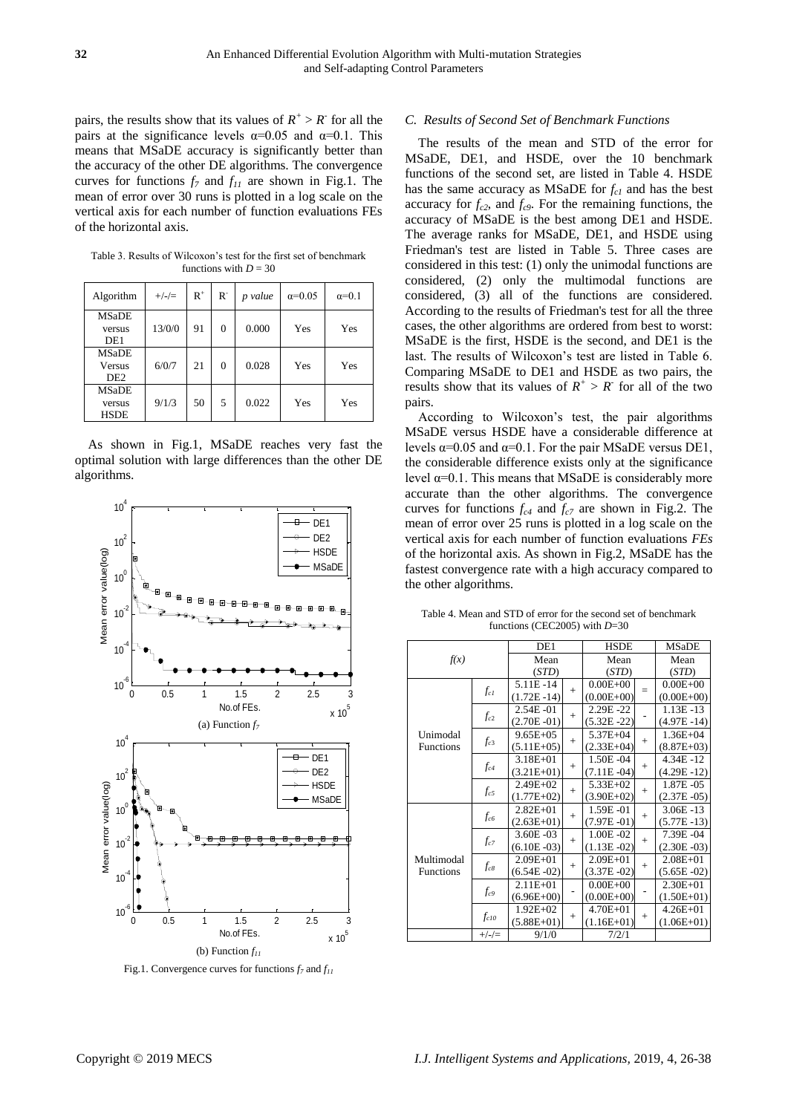pairs, the results show that its values of  $R^+ > R^-$  for all the pairs at the significance levels  $\alpha=0.05$  and  $\alpha=0.1$ . This means that MSaDE accuracy is significantly better than the accuracy of the other DE algorithms. The convergence curves for functions *f<sup>7</sup>* and *f<sup>11</sup>* are shown in Fig.1. The mean of error over 30 runs is plotted in a log scale on the vertical axis for each number of function evaluations FEs of the horizontal axis.

Table 3. Results of Wilcoxon's test for the first set of benchmark functions with  $D = 30$ 

| Algorithm                                        | $+/-/=\$ | $R^+$ | R.             | p value | $\alpha = 0.05$ | $\alpha=0.1$ |
|--------------------------------------------------|----------|-------|----------------|---------|-----------------|--------------|
| <b>MSaDE</b><br>versus<br>DE1                    | 13/0/0   | 91    | $\overline{0}$ | 0.000   | Yes             | Yes          |
| <b>MSaDE</b><br><b>Versus</b><br>DE <sub>2</sub> | 6/0/7    | 21    | $\theta$       | 0.028   | Yes             | Yes          |
| <b>MSaDE</b><br>versus<br><b>HSDE</b>            | 9/1/3    | 50    | 5              | 0.022   | Yes             | Yes          |

As shown in Fig.1, MSaDE reaches very fast the optimal solution with large differences than the other DE algorithms.



Fig.1. Convergence curves for functions *f<sup>7</sup>* and *f<sup>11</sup>*

# *C. Results of Second Set of Benchmark Functions*

The results of the mean and STD of the error for MSaDE, DE1, and HSDE, over the 10 benchmark functions of the second set, are listed in Table 4. HSDE has the same accuracy as MSaDE for *fc1* and has the best accuracy for  $f_{c2}$ , and  $f_{c9}$ . For the remaining functions, the accuracy of MSaDE is the best among DE1 and HSDE. The average ranks for MSaDE, DE1, and HSDE using Friedman's test are listed in Table 5. Three cases are considered in this test: (1) only the unimodal functions are considered, (2) only the multimodal functions are considered, (3) all of the functions are considered. According to the results of Friedman's test for all the three cases, the other algorithms are ordered from best to worst: MSaDE is the first, HSDE is the second, and DE1 is the last. The results of Wilcoxon's test are listed in Table 6. Comparing MSaDE to DE1 and HSDE as two pairs, the results show that its values of  $R^+ > R^-$  for all of the two pairs.

According to Wilcoxon's test, the pair algorithms MSaDE versus HSDE have a considerable difference at levels  $\alpha$ =0.05 and  $\alpha$ =0.1. For the pair MSaDE versus DE1, the considerable difference exists only at the significance level  $α=0.1$ . This means that MSaDE is considerably more accurate than the other algorithms. The convergence curves for functions *fc4* and *fc7* are shown in Fig.2. The mean of error over 25 runs is plotted in a log scale on the vertical axis for each number of function evaluations *FEs* of the horizontal axis. As shown in Fig.2, MSaDE has the fastest convergence rate with a high accuracy compared to the other algorithms.

|                  |           | DE1            |        | <b>HSDE</b>    |                                                                                                                                                                                                                                                                                                                                                                                                                  |              |
|------------------|-----------|----------------|--------|----------------|------------------------------------------------------------------------------------------------------------------------------------------------------------------------------------------------------------------------------------------------------------------------------------------------------------------------------------------------------------------------------------------------------------------|--------------|
| f(x)             |           | Mean           |        | Mean           |                                                                                                                                                                                                                                                                                                                                                                                                                  |              |
|                  |           | (STD)          |        | (STD)          |                                                                                                                                                                                                                                                                                                                                                                                                                  |              |
|                  |           | 5.11E-14       |        | $0.00E + 00$   |                                                                                                                                                                                                                                                                                                                                                                                                                  |              |
|                  | $f_{cl}$  | $(1.72E - 14)$ | $^{+}$ | $(0.00E + 00)$ | $=$                                                                                                                                                                                                                                                                                                                                                                                                              | $(0.00E+00)$ |
|                  |           | $2.54E - 01$   |        | 2.29E-22       | <b>MSaDE</b><br>Mean<br>(STD)<br>$0.00E + 00$<br>$1.13E - 13$<br>$(4.97E - 14)$<br>$1.36E + 04$<br>$+$<br>$(8.87E+03)$<br>$4.34E - 12$<br>$+$<br>$(4.29E - 12)$<br>1.87E -05<br>$^{+}$<br>$(2.37E - 05)$<br>$3.06E - 13$<br>$^{+}$<br>$(5.77E-13)$<br>7.39E-04<br>$^{+}$<br>$(2.30E - 03)$<br>$2.08E + 01$<br>$^{+}$<br>$(5.65E - 02)$<br>$2.30E + 01$<br>$(1.50E+01)$<br>$4.26E + 01$<br>$^{+}$<br>$(1.06E+01)$ |              |
|                  | $f_{c2}$  | $(2.70E - 01)$ | $+$    | $(5.32E - 22)$ |                                                                                                                                                                                                                                                                                                                                                                                                                  |              |
| Unimodal         |           | $9.65E + 0.5$  |        | $5.37E + 04$   |                                                                                                                                                                                                                                                                                                                                                                                                                  |              |
| <b>Functions</b> | $f_{c3}$  | $(5.11E+05)$   | $^{+}$ | $(2.33E+04)$   |                                                                                                                                                                                                                                                                                                                                                                                                                  |              |
|                  | $f_{c4}$  | $3.18E + 01$   | $^{+}$ | 1.50E-04       |                                                                                                                                                                                                                                                                                                                                                                                                                  |              |
|                  |           | $(3.21E+01)$   |        | $(7.11E - 04)$ |                                                                                                                                                                                                                                                                                                                                                                                                                  |              |
|                  | $f_{c5}$  | $2.49E + 02$   | $+$    | $5.33E+02$     |                                                                                                                                                                                                                                                                                                                                                                                                                  |              |
|                  |           | $(1.77E+02)$   |        | $(3.90E+02)$   |                                                                                                                                                                                                                                                                                                                                                                                                                  |              |
|                  |           | $2.82E + 01$   | $+$    | 1.59E-01       |                                                                                                                                                                                                                                                                                                                                                                                                                  |              |
|                  | $f_{c6}$  | $(2.63E+01)$   |        | $(7.97E - 01)$ |                                                                                                                                                                                                                                                                                                                                                                                                                  |              |
|                  |           | $3.60E - 03$   | $+$    | $1.00E - 02$   |                                                                                                                                                                                                                                                                                                                                                                                                                  |              |
|                  | $f_{c7}$  | $(6.10E - 03)$ |        | $(1.13E - 02)$ |                                                                                                                                                                                                                                                                                                                                                                                                                  |              |
| Multimodal       |           | $2.09E + 01$   |        | $2.09E + 01$   |                                                                                                                                                                                                                                                                                                                                                                                                                  |              |
| <b>Functions</b> | $f_{c8}$  | $(6.54E - 02)$ | $^{+}$ | $(3.37E - 02)$ |                                                                                                                                                                                                                                                                                                                                                                                                                  |              |
|                  |           | $2.11E + 01$   |        | $0.00E + 00$   |                                                                                                                                                                                                                                                                                                                                                                                                                  |              |
|                  | $f_{c9}$  | $(6.96E+00)$   |        | $(0.00E+00)$   |                                                                                                                                                                                                                                                                                                                                                                                                                  |              |
|                  | $f_{c10}$ | $1.92E + 02$   |        | $4.70E + 01$   |                                                                                                                                                                                                                                                                                                                                                                                                                  |              |
|                  |           | $(5.88E+01)$   | $^{+}$ | $(1.16E+01)$   |                                                                                                                                                                                                                                                                                                                                                                                                                  |              |
|                  | $+/-/=\$  | 9/1/0          |        | 7/2/1          |                                                                                                                                                                                                                                                                                                                                                                                                                  |              |

Table 4. Mean and STD of error for the second set of benchmark functions (CEC2005) with *D*=30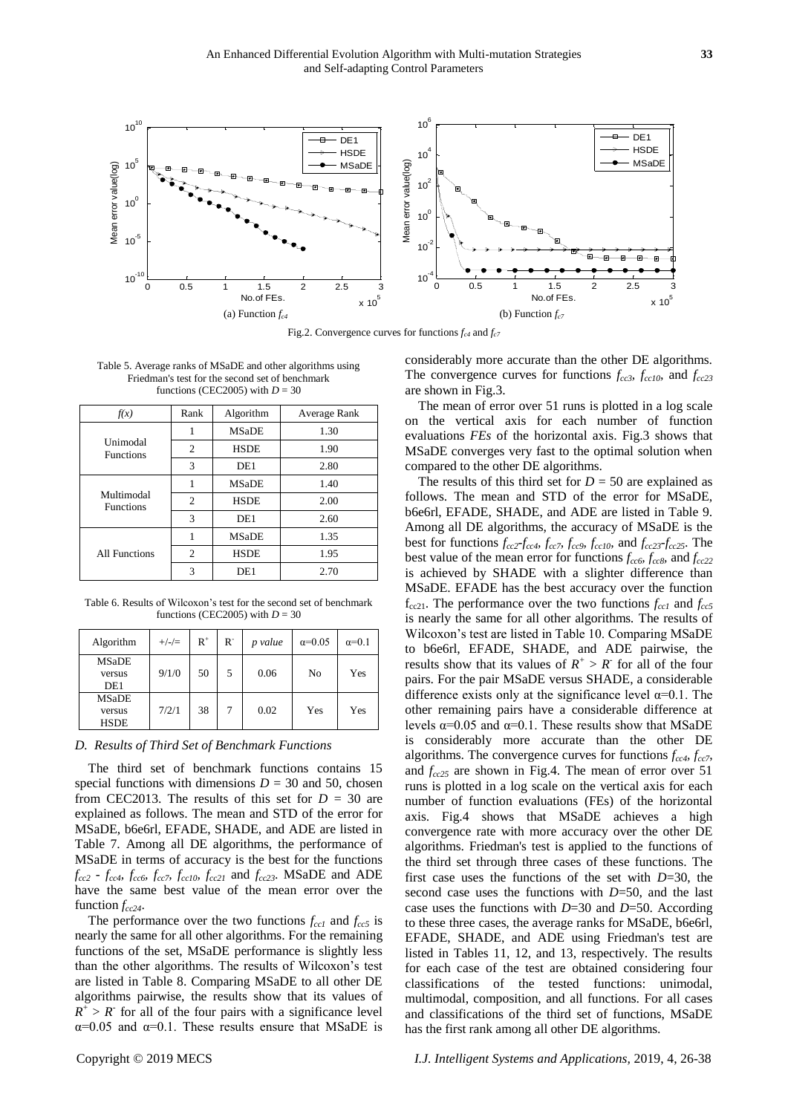

Fig.2. Convergence curves for functions *fc4* and *fc7*

Table 5. Average ranks of MSaDE and other algorithms using Friedman's test for the second set of benchmark functions (CEC2005) with  $D = 30$ 

| f(x)                           | Rank           | Algorithm       | Average Rank |
|--------------------------------|----------------|-----------------|--------------|
|                                | 1              | <b>MSaDE</b>    | 1.30         |
| Unimodal<br><b>Functions</b>   | $\overline{c}$ | <b>HSDE</b>     | 1.90         |
|                                | 3              | DE <sub>1</sub> | 2.80         |
|                                |                | MSaDE           | 1.40         |
| Multimodal<br><b>Functions</b> | $\overline{2}$ | <b>HSDE</b>     | 2.00         |
|                                | 3              | DE <sub>1</sub> | 2.60         |
|                                |                | <b>MSaDE</b>    | 1.35         |
| <b>All Functions</b>           | $\overline{c}$ | <b>HSDE</b>     | 1.95         |
|                                | 3              | DE1             | 2.70         |

Table 6. Results of Wilcoxon's test for the second set of benchmark functions (CEC2005) with  $D = 30$ 

| Algorithm                                 | $+/-/=\$ | $R^+$ | $R^{-}$ | p value | $\alpha = 0.05$ | $\alpha=0.1$ |
|-------------------------------------------|----------|-------|---------|---------|-----------------|--------------|
| <b>MSaDE</b><br>versus<br>DE <sub>1</sub> | 9/1/0    | 50    | 5       | 0.06    | No              | Yes          |
| <b>MSaDE</b><br>versus<br><b>HSDE</b>     | 7/2/1    | 38    |         | 0.02    | Yes             | Yes          |

## *D. Results of Third Set of Benchmark Functions*

The third set of benchmark functions contains 15 special functions with dimensions  $D = 30$  and 50, chosen from CEC2013. The results of this set for  $D = 30$  are explained as follows. The mean and STD of the error for MSaDE, b6e6rl, EFADE, SHADE, and ADE are listed in Table 7. Among all DE algorithms, the performance of MSaDE in terms of accuracy is the best for the functions  $f_{cc2}$  *-*  $f_{cc4}$ *,*  $f_{cc6}$ *<sup><i>f*</sup></sup> $f_{cc7}$ *,*  $f_{cc10}$ *,*  $f_{cc21}$  and  $f_{cc23}$ *.* MSaDE and ADE have the same best value of the mean error over the function *fcc24*.

The performance over the two functions  $f_{cc1}$  and  $f_{cc5}$  is nearly the same for all other algorithms. For the remaining functions of the set, MSaDE performance is slightly less than the other algorithms. The results of Wilcoxon's test are listed in Table 8. Comparing MSaDE to all other DE algorithms pairwise, the results show that its values of  $R^+ > R$  for all of the four pairs with a significance level  $\alpha$ =0.05 and  $\alpha$ =0.1. These results ensure that MSaDE is

considerably more accurate than the other DE algorithms. The convergence curves for functions *fcc3, fcc10,* and *fcc23* are shown in Fig.3.

The mean of error over 51 runs is plotted in a log scale on the vertical axis for each number of function evaluations *FEs* of the horizontal axis. Fig.3 shows that MSaDE converges very fast to the optimal solution when compared to the other DE algorithms.

The results of this third set for  $D = 50$  are explained as follows. The mean and STD of the error for MSaDE, b6e6rl, EFADE, SHADE, and ADE are listed in Table 9. Among all DE algorithms, the accuracy of MSaDE is the best for functions  $f_{cc2}f_{cc4}f_{cc7}f_{cc9}f_{cc10}$ , and  $f_{cc23}f_{cc25}$ . The best value of the mean error for functions *fcc6, fcc8,* and *fcc22* is achieved by SHADE with a slighter difference than MSaDE. EFADE has the best accuracy over the function  $f_{cc21}$ . The performance over the two functions  $f_{cc1}$  and  $f_{cc5}$ is nearly the same for all other algorithms*.* The results of Wilcoxon's test are listed in Table 10. Comparing MSaDE to b6e6rl, EFADE, SHADE, and ADE pairwise, the results show that its values of  $R^+ > R$  for all of the four pairs. For the pair MSaDE versus SHADE, a considerable difference exists only at the significance level  $\alpha$ =0.1. The other remaining pairs have a considerable difference at levels  $\alpha$ =0.05 and  $\alpha$ =0.1. These results show that MSaDE is considerably more accurate than the other DE algorithms. The convergence curves for functions *fcc4, fcc7*, and *fcc25* are shown in Fig.4. The mean of error over 51 runs is plotted in a log scale on the vertical axis for each number of function evaluations (FEs) of the horizontal axis. Fig.4 shows that MSaDE achieves a high convergence rate with more accuracy over the other DE algorithms. Friedman's test is applied to the functions of the third set through three cases of these functions. The first case uses the functions of the set with *D*=30, the second case uses the functions with *D*=50, and the last case uses the functions with *D*=30 and *D*=50. According to these three cases, the average ranks for MSaDE, b6e6rl, EFADE, SHADE, and ADE using Friedman's test are listed in Tables 11, 12, and 13, respectively. The results for each case of the test are obtained considering four classifications of the tested functions: unimodal, multimodal, composition, and all functions. For all cases and classifications of the third set of functions, MSaDE has the first rank among all other DE algorithms.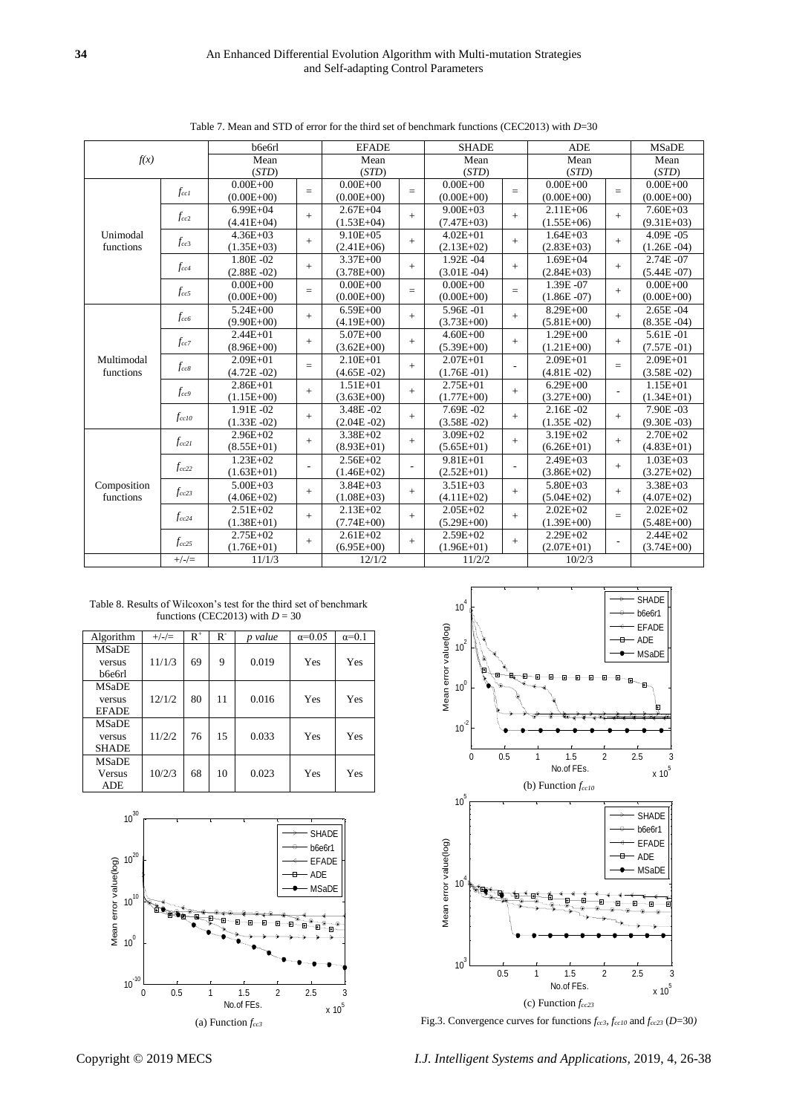|                       |               | b6e6rl         |     | <b>EFADE</b>   |     | <b>SHADE</b>   |                          | <b>ADE</b>     |     | <b>MSaDE</b>   |
|-----------------------|---------------|----------------|-----|----------------|-----|----------------|--------------------------|----------------|-----|----------------|
| f(x)                  |               | Mean           |     | Mean           |     | Mean           |                          | Mean           |     | Mean           |
|                       |               | (STD)          |     | (STD)          |     | (STD)          |                          | (STD)          |     | (STD)          |
|                       |               | $0.00E + 00$   | $=$ | $0.00E + 00$   | $=$ | $0.00E + 00$   |                          | $0.00E + 00$   | $=$ | $0.00E + 00$   |
|                       | $f_{\rm ccl}$ | $(0.00E+00)$   |     | $(0.00E+00)$   |     | $(0.00E + 00)$ | $=$                      | $(0.00E + 00)$ |     | $(0.00E + 00)$ |
|                       |               | $6.99E + 04$   | $+$ | $2.67E + 04$   | $+$ | $9.00E + 03$   | $+$                      | $2.11E + 06$   | $+$ | $7.60E + 03$   |
|                       | $f_{cc2}$     | $(4.41E+04)$   |     | $(1.53E+04)$   |     | $(7.47E+03)$   |                          | $(1.55E+06)$   |     | $(9.31E+03)$   |
| Unimodal<br>functions |               | $4.36E + 03$   | $+$ | $9.10E + 0.5$  | $+$ | $4.02E + 01$   | $+$                      | $1.64E + 03$   | $+$ | 4.09E-05       |
|                       | $f_{cc3}$     | $(1.35E+03)$   |     | $(2.41E+06)$   |     | $(2.13E+02)$   |                          | $(2.83E+03)$   |     | $(1.26E - 04)$ |
|                       |               | 1.80E -02      | $+$ | $3.37E + 00$   | $+$ | 1.92E-04       | $+$                      | $1.69E + 04$   |     | 2.74E-07       |
|                       | $f_{cc4}$     | $(2.88E - 02)$ |     | $(3.78E+00)$   |     | $(3.01E - 04)$ |                          | $(2.84E+03)$   | $+$ | $(5.44E - 07)$ |
|                       |               | $0.00E + 00$   | $=$ | $0.00E + 00$   | $=$ | $0.00E + 00$   | $=$                      | 1.39E-07       | $+$ | $0.00E + 00$   |
|                       | $f_{cc5}$     | $(0.00E + 00)$ |     | $(0.00E + 00)$ |     | $(0.00E + 00)$ |                          | $(1.86E - 07)$ |     | $(0.00E + 00)$ |
|                       |               | $5.24E + 00$   | $+$ | $6.59E + 00$   |     | 5.96E-01       | $+$                      | 8.29E+00       | $+$ | $2.65E - 04$   |
|                       | $f_{cc6}$     | $(9.90E + 00)$ |     | $(4.19E+00)$   | $+$ | $(3.73E+00)$   |                          | $(5.81E+00)$   |     | $(8.35E - 04)$ |
|                       |               | $2.44E + 01$   | $+$ | $5.07E + 00$   | $+$ | $4.60E + 00$   | $+$                      | $1.29E + 00$   | $+$ | $5.61E - 01$   |
|                       | $f_{cc7}$     | $(8.96E+00)$   |     | $(3.62E+00)$   |     | $(5.39E+00)$   |                          | $(1.21E+00)$   |     | $(7.57E - 01)$ |
| Multimodal            |               | $2.09E + 01$   | $=$ | $2.10E + 01$   | $+$ | $2.07E + 01$   | $\overline{\phantom{a}}$ | $2.09E + 01$   | $=$ | $2.09E + 01$   |
| functions             | $f_{cc8}$     | $(4.72E - 02)$ |     | $(4.65E - 02)$ |     | $(1.76E - 01)$ |                          | $(4.81E - 02)$ |     | $(3.58E - 02)$ |
|                       |               | $2.86E + 01$   | $+$ | $1.51E + 01$   | $+$ | $2.75E + 01$   | $+$                      | $6.29E + 00$   |     | $1.15E + 01$   |
|                       | $f_{cc9}$     | $(1.15E+00)$   |     | $(3.63E+00)$   |     | $(1.77E+00)$   |                          | $(3.27E+00)$   | ٠   | $(1.34E+01)$   |
|                       |               | 1.91E-02       | $+$ | 3.48E-02       | $+$ | 7.69E-02       | $+$                      | $2.16E - 02$   | $+$ | 7.90E-03       |
|                       | $f_{cc10}$    | $(1.33E - 02)$ |     | $(2.04E - 02)$ |     | $(3.58E - 02)$ |                          | $(1.35E - 02)$ |     | $(9.30E - 03)$ |
|                       | $f_{cc21}$    | $2.96E+02$     | $+$ | $3.38E + 02$   | $+$ | $3.09E + 02$   | $+$                      | $3.19E + 02$   | $+$ | $2.70E + 02$   |
|                       |               | $(8.55E+01)$   |     | $(8.93E+01)$   |     | $(5.65E+01)$   |                          | $(6.26E+01)$   |     | $(4.83E+01)$   |
|                       | $f_{cc22}$    | $1.23E + 02$   | ٠   | $2.56E+02$     |     | $9.81E + 01$   | $\overline{a}$           | $2.49E + 03$   | $+$ | $1.03E + 03$   |
|                       |               | $(1.63E+01)$   |     | $(1.46E+02)$   |     | $(2.52E+01)$   |                          | $(3.86E+02)$   |     | $(3.27E+02)$   |
| Composition           |               | $5.00E + 03$   |     | $3.84E + 03$   | $+$ | $3.51E + 03$   |                          | $5.80E + 03$   | $+$ | $3.38E + 03$   |
| functions             | $f_{cc23}$    | $(4.06E+02)$   | $+$ | $(1.08E+03)$   |     | $(4.11E+02)$   | $+$                      | $(5.04E+02)$   |     | $(4.07E+02)$   |
|                       |               | $2.51E+02$     | $+$ | $2.13E + 02$   | $+$ | $2.05E + 02$   |                          | $2.02E + 02$   | $=$ | $2.02E + 02$   |
|                       | $f_{cc24}$    | $(1.38E + 01)$ |     | $(7.74E+00)$   |     | $(5.29E+00)$   | $+$                      | $(1.39E+00)$   |     | $(5.48E+00)$   |
|                       |               | $2.75E+02$     | $+$ | $2.61E+02$     | $+$ | $2.59E + 02$   |                          | $2.29E + 02$   |     | $2.44E+02$     |
|                       | $f_{cc25}$    | $(1.76E+01)$   |     | $(6.95E+00)$   |     | $(1.96E+01)$   | $+$                      | $(2.07E+01)$   |     | $(3.74E+00)$   |
|                       | $+/-/=\$      | 11/1/3         |     | 12/1/2         |     | 11/2/2         |                          | 10/2/3         |     |                |

Table 7. Mean and STD of error for the third set of benchmark functions (CEC2013) with *D*=30

Table 8. Results of Wilcoxon's test for the third set of benchmark functions (CEC2013) with  $D = 30$ 

| Algorithm     | $+/-/=\$ | $R^+$ | $R^{-}$ | p value | $\alpha = 0.05$ | $\alpha=0.1$ |
|---------------|----------|-------|---------|---------|-----------------|--------------|
| <b>MSaDE</b>  |          |       |         |         |                 |              |
| versus        | 11/1/3   | 69    | 9       | 0.019   | Yes             | Yes          |
| <b>b6e6rl</b> |          |       |         |         |                 |              |
| <b>MSaDE</b>  |          |       |         |         |                 |              |
| versus        | 12/1/2   | 80    | 11      | 0.016   | Yes             | Yes          |
| <b>EFADE</b>  |          |       |         |         |                 |              |
| <b>MSaDE</b>  |          |       |         |         |                 |              |
| versus        | 11/2/2   | 76    | 15      | 0.033   | Yes             | Yes          |
| <b>SHADE</b>  |          |       |         |         |                 |              |
| <b>MSaDE</b>  |          |       |         |         |                 |              |
| <b>Versus</b> | 10/2/3   | 68    | 10      | 0.023   | Yes             | Yes          |
| <b>ADE</b>    |          |       |         |         |                 |              |





Fig.3. Convergence curves for functions *fcc3, fcc10* and *fcc23* (*D*=30*)*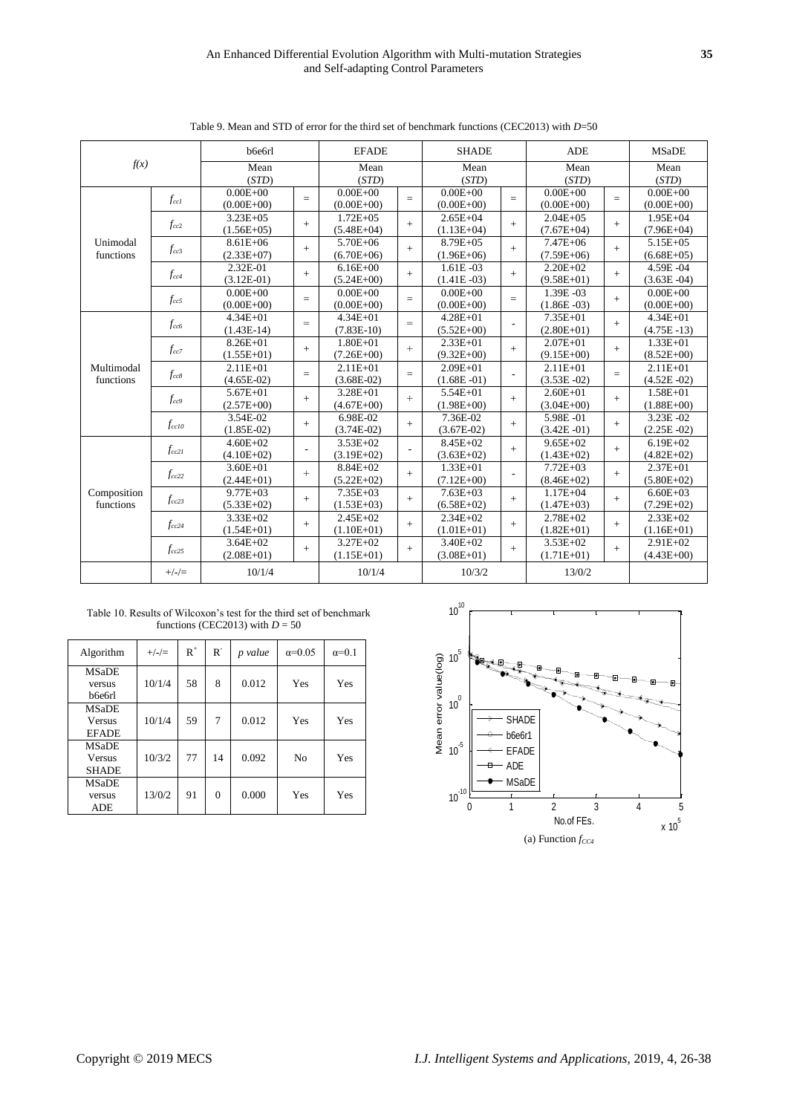|                          |            | b6e6rl                         |        | <b>EFADE</b>                   |     | <b>SHADE</b>                   |     | <b>ADE</b>                     |     | <b>MSaDE</b>                   |
|--------------------------|------------|--------------------------------|--------|--------------------------------|-----|--------------------------------|-----|--------------------------------|-----|--------------------------------|
| f(x)                     |            | Mean<br>(STD)                  |        | Mean<br>(STD)                  |     | Mean<br>(STD)                  |     | Mean<br>(STD)                  |     | Mean<br>(STD)                  |
|                          | $f_{ccl}$  | $0.00E + 00$<br>$(0.00E + 00)$ | $=$    | $0.00E + 00$<br>$(0.00E + 00)$ | $=$ | $0.00E + 00$<br>$(0.00E + 00)$ | $=$ | $0.00E + 00$<br>$(0.00E + 00)$ | $=$ | $0.00E + 00$<br>$(0.00E + 00)$ |
| Unimodal<br>functions    | $f_{cc2}$  | $3.23E + 05$<br>$(1.56E+05)$   | $+$    | $1.72E + 05$<br>$(5.48E+04)$   | $+$ | $2.65E + 04$<br>$(1.13E+04)$   | $+$ | $2.04E + 0.5$<br>$(7.67E+04)$  | $+$ | $1.95E + 04$<br>$(7.96E+04)$   |
|                          | $f_{cc3}$  | $8.61E + 06$<br>$(2.33E+07)$   | $+$    | $5.70E + 06$<br>$(6.70E + 06)$ | $+$ | 8.79E+05<br>$(1.96E+06)$       | $+$ | $7.47E + 06$<br>$(7.59E+06)$   | $+$ | $5.15E + 05$<br>$(6.68E+05)$   |
|                          | $f_{cc4}$  | 2.32E-01<br>$(3.12E-01)$       | $+$    | $6.16E + 00$<br>$(5.24E+00)$   | $+$ | $1.61E - 03$<br>$(1.41E - 03)$ | $+$ | $2.20E + 02$<br>$(9.58E+01)$   | $+$ | 4.59E-04<br>$(3.63E - 04)$     |
|                          | $f_{cc5}$  | $0.00E + 00$<br>$(0.00E + 00)$ | $=$    | $0.00E + 00$<br>$(0.00E + 00)$ | $=$ | $0.00E + 00$<br>$(0.00E + 00)$ | $=$ | 1.39E-03<br>$(1.86E - 03)$     | $+$ | $0.00E + 00$<br>$(0.00E + 00)$ |
|                          | $f_{cc6}$  | $4.34E + 01$<br>$(1.43E-14)$   | $=$    | $4.34E + 01$<br>$(7.83E-10)$   | $=$ | $4.28E + 01$<br>$(5.52E+00)$   |     | $7.35E + 01$<br>$(2.80E+01)$   | $+$ | $4.34E + 01$<br>$(4.75E - 13)$ |
|                          | $f_{cc7}$  | $8.26E + 01$<br>$(1.55E+01)$   | $+$    | $1.80E + 01$<br>$(7.26E+00)$   | $+$ | $2.33E + 01$<br>$(9.32E + 00)$ | $+$ | $2.07E + 01$<br>$(9.15E+00)$   | $+$ | $1.33E + 01$<br>$(8.52E+00)$   |
| Multimodal<br>functions  | $f_{cc8}$  | $2.11E + 01$<br>$(4.65E-02)$   | $=$    | $2.11E + 01$<br>$(3.68E-02)$   | $=$ | $2.09E + 01$<br>$(1.68E - 01)$ |     | $2.11E + 01$<br>$(3.53E - 02)$ | $=$ | $2.11E + 01$<br>$(4.52E - 02)$ |
|                          | $f_{cc9}$  | $5.67E + 01$<br>$(2.57E+00)$   | $+$    | 3.28E+01<br>$(4.67E+00)$       | $+$ | $5.54E + 01$<br>$(1.98E + 00)$ | $+$ | $2.60E + 01$<br>$(3.04E+00)$   | $+$ | $1.58E + 01$<br>$(1.88E+00)$   |
|                          | $f_{cc10}$ | 3.54E-02<br>$(1.85E-02)$       | $+$    | 6.98E-02<br>$(3.74E-02)$       | $+$ | 7.36E-02<br>$(3.67E-02)$       | $+$ | 5.98E-01<br>$(3.42E - 01)$     | $+$ | 3.23E-02<br>$(2.25E - 02)$     |
|                          | $f_{cc21}$ | $4.60E + 02$<br>$(4.10E+02)$   | $\sim$ | $3.53E + 02$<br>$(3.19E+02)$   |     | $8.45E+02$<br>$(3.63E+02)$     | $+$ | $9.65E + 02$<br>$(1.43E+02)$   | $+$ | $6.19E + 02$<br>$(4.82E+02)$   |
|                          | $f_{cc22}$ | $3.60E + 01$<br>$(2.44E+01)$   | $+$    | 8.84E+02<br>$(5.22E+02)$       | $+$ | $1.33E + 01$<br>$(7.12E+00)$   |     | $7.72E + 03$<br>$(8.46E+02)$   | $+$ | $2.37E + 01$<br>$(5.80E+02)$   |
| Composition<br>functions | $f_{cc23}$ | $9.77E + 03$<br>$(5.33E+02)$   | $+$    | $7.35E + 03$<br>$(1.53E+03)$   | $+$ | $7.63E + 03$<br>$(6.58E+02)$   | $+$ | $1.17E + 04$<br>$(1.47E+03)$   | $+$ | $6.60E + 03$<br>$(7.29E+02)$   |
|                          | $f_{cc24}$ | $3.33E + 02$<br>$(1.54E+01)$   | $+$    | $2.45E+02$<br>$(1.10E+01)$     | $+$ | $2.34E + 02$<br>$(1.01E+01)$   | $+$ | $2.78E + 02$<br>$(1.82E+01)$   | $+$ | $2.33E+02$<br>$(1.16E+01)$     |
|                          | $f_{cc25}$ | $3.64E + 02$<br>$(2.08E+01)$   | $+$    | $3.27E + 02$<br>$(1.15E+01)$   | $+$ | $3.40E + 02$<br>$(3.08E+01)$   | $+$ | $3.53E + 02$<br>$(1.71E+01)$   | $+$ | $2.91E + 02$<br>$(4.43E+00)$   |
|                          | $+/-/=\$   | 10/1/4                         |        | 10/1/4                         |     | 10/3/2                         |     | 13/0/2                         |     |                                |

Table 9. Mean and STD of error for the third set of benchmark functions (CEC2013) with *D*=50

| Table 10. Results of Wilcoxon's test for the third set of benchmark |  |
|---------------------------------------------------------------------|--|
| functions (CEC2013) with $D = 50$                                   |  |

| Algorithm                                     | $+/-/=\$ | $R^+$ | $R^-$    | p value | $\alpha = 0.05$ | $\alpha=0.1$ |
|-----------------------------------------------|----------|-------|----------|---------|-----------------|--------------|
| <b>MSaDE</b><br>versus<br>b6e6rl              | 10/1/4   | 58    | 8        | 0.012   | Yes             | Yes          |
| <b>MSaDE</b><br><b>Versus</b><br><b>EFADE</b> | 10/1/4   | 59    | 7        | 0.012   | Yes             | Yes          |
| <b>MSaDE</b><br><b>Versus</b><br><b>SHADE</b> | 10/3/2   | 77    | 14       | 0.092   | N <sub>0</sub>  | Yes          |
| MSaDE<br>versus<br><b>ADE</b>                 | 13/0/2   | 91    | $\Omega$ | 0.000   | Yes             | Yes          |

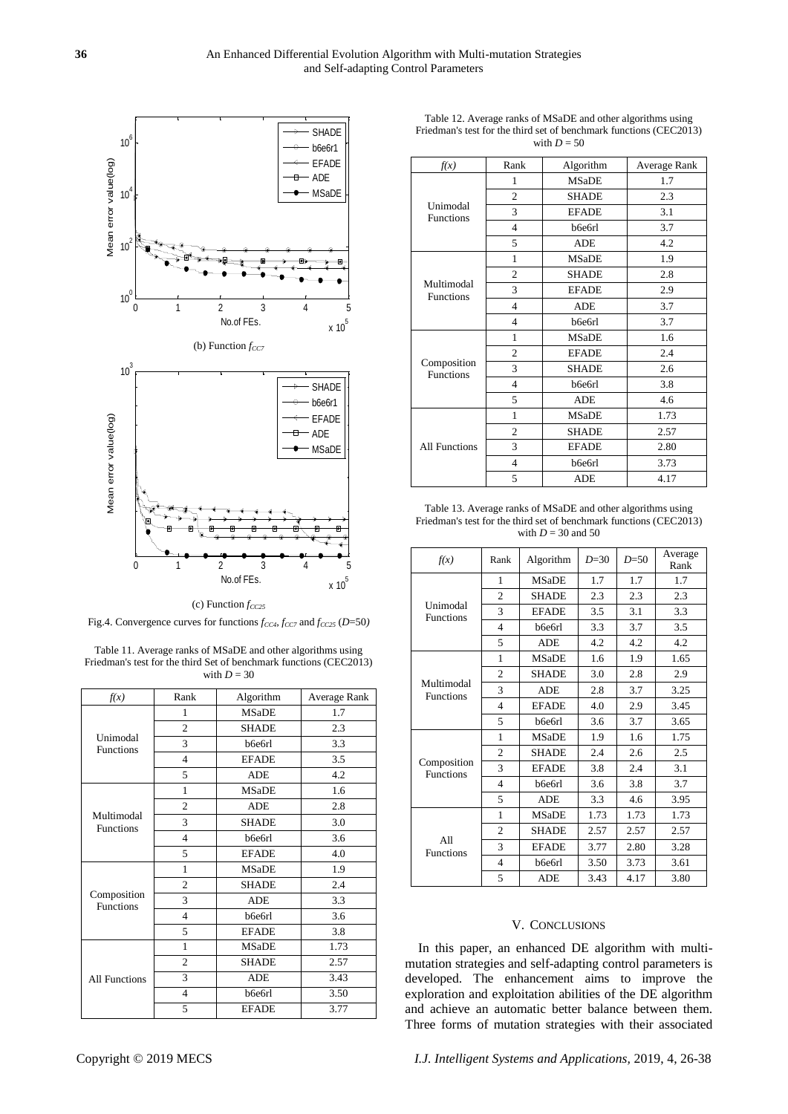

(c) Function *fCC25*

Fig.4. Convergence curves for functions *fCC4, fCC7* and *fCC25* (*D*=50*)*

Table 11. Average ranks of MSaDE and other algorithms using Friedman's test for the third Set of benchmark functions (CEC2013) with  $D = 30$ 

| f(x)                            | Rank           | Algorithm    | Average Rank |
|---------------------------------|----------------|--------------|--------------|
|                                 | 1              | <b>MSaDE</b> | 1.7          |
|                                 | $\overline{c}$ | <b>SHADE</b> | 2.3          |
| Unimodal<br><b>Functions</b>    | 3              | b6e6rl       | 3.3          |
|                                 | $\overline{4}$ | <b>EFADE</b> | 3.5          |
|                                 | 5              | <b>ADE</b>   | 4.2          |
|                                 | 1              | <b>MSaDE</b> | 1.6          |
|                                 | $\overline{c}$ | <b>ADE</b>   | 2.8          |
| Multimodal<br><b>Functions</b>  | 3              | <b>SHADE</b> | 3.0          |
|                                 | $\overline{4}$ | b6e6rl       | 3.6          |
|                                 | 5              | <b>EFADE</b> | 4.0          |
|                                 | $\mathbf{1}$   | <b>MSaDE</b> | 1.9          |
|                                 | $\overline{c}$ | <b>SHADE</b> | 2.4          |
| Composition<br><b>Functions</b> | 3              | <b>ADE</b>   | 3.3          |
|                                 | $\overline{4}$ | b6e6rl       | 3.6          |
|                                 | 5              | <b>EFADE</b> | 3.8          |
|                                 | $\mathbf{1}$   | <b>MSaDE</b> | 1.73         |
|                                 | $\overline{c}$ | <b>SHADE</b> | 2.57         |
| <b>All Functions</b>            | 3              | <b>ADE</b>   | 3.43         |
|                                 | 4              | b6e6rl       | 3.50         |
|                                 | 5              | <b>EFADE</b> | 3.77         |

Table 12. Average ranks of MSaDE and other algorithms using Friedman's test for the third set of benchmark functions (CEC2013) with  $D = 50$ 

| f(x)                            | Rank           | Algorithm    | Average Rank |
|---------------------------------|----------------|--------------|--------------|
| Unimodal<br><b>Functions</b>    | 1              | <b>MSaDE</b> | 1.7          |
|                                 | $\overline{2}$ | <b>SHADE</b> | 2.3          |
|                                 | 3              | <b>EFADE</b> | 3.1          |
|                                 | $\overline{4}$ | b6e6rl       | 3.7          |
|                                 | 5              | <b>ADE</b>   | 4.2          |
| Multimodal<br><b>Functions</b>  | 1              | <b>MSaDE</b> | 1.9          |
|                                 | $\overline{2}$ | <b>SHADE</b> | 2.8          |
|                                 | 3              | <b>EFADE</b> | 2.9          |
|                                 | $\overline{4}$ | <b>ADE</b>   | 3.7          |
|                                 | $\overline{4}$ | b6e6rl       | 3.7          |
| Composition<br><b>Functions</b> | 1              | <b>MSaDE</b> | 1.6          |
|                                 | $\overline{2}$ | <b>EFADE</b> | 2.4          |
|                                 | 3              | <b>SHADE</b> | 2.6          |
|                                 | $\overline{4}$ | b6e6rl       | 3.8          |
|                                 | 5              | <b>ADE</b>   | 4.6          |
| All Functions                   | 1              | <b>MSaDE</b> | 1.73         |
|                                 | $\overline{2}$ | <b>SHADE</b> | 2.57         |
|                                 | 3              | <b>EFADE</b> | 2.80         |
|                                 | $\overline{4}$ | b6e6rl       | 3.73         |
|                                 | 5              | <b>ADE</b>   | 4.17         |

Table 13. Average ranks of MSaDE and other algorithms using Friedman's test for the third set of benchmark functions (CEC2013) with  $D = 30$  and 50

| f(x)                            | Rank                     | Algorithm    | $D = 30$ | $D = 50$ | Average<br>Rank |
|---------------------------------|--------------------------|--------------|----------|----------|-----------------|
| Unimodal<br><b>Functions</b>    | 1                        | <b>MSaDE</b> | 1.7      | 1.7      | 1.7             |
|                                 | $\overline{c}$           | <b>SHADE</b> | 2.3      | 2.3      | 2.3             |
|                                 | 3                        | <b>EFADE</b> | 3.5      | 3.1      | 3.3             |
|                                 | $\overline{4}$           | b6e6rl       | 3.3      | 3.7      | 3.5             |
|                                 | 5                        | <b>ADE</b>   | 4.2      | 4.2      | 4.2             |
| Multimodal<br><b>Functions</b>  | 1                        | <b>MSaDE</b> | 1.6      | 1.9      | 1.65            |
|                                 | $\overline{c}$           | <b>SHADE</b> | 3.0      | 2.8      | 2.9             |
|                                 | 3                        | <b>ADE</b>   | 2.8      | 3.7      | 3.25            |
|                                 | $\overline{\mathcal{L}}$ | <b>EFADE</b> | 4.0      | 2.9      | 3.45            |
|                                 | 5                        | b6e6rl       | 3.6      | 3.7      | 3.65            |
| Composition<br><b>Functions</b> | 1                        | <b>MSaDE</b> | 1.9      | 1.6      | 1.75            |
|                                 | $\overline{c}$           | <b>SHADE</b> | 2.4      | 2.6      | 2.5             |
|                                 | 3                        | <b>EFADE</b> | 3.8      | 2.4      | 3.1             |
|                                 | $\overline{\mathcal{L}}$ | b6e6rl       | 3.6      | 3.8      | 3.7             |
|                                 | 5                        | <b>ADE</b>   | 3.3      | 4.6      | 3.95            |
| A11<br><b>Functions</b>         | 1                        | <b>MSaDE</b> | 1.73     | 1.73     | 1.73            |
|                                 | 2                        | <b>SHADE</b> | 2.57     | 2.57     | 2.57            |
|                                 | 3                        | <b>EFADE</b> | 3.77     | 2.80     | 3.28            |
|                                 | $\overline{4}$           | b6e6rl       | 3.50     | 3.73     | 3.61            |
|                                 | 5                        | ADE          | 3.43     | 4.17     | 3.80            |

# V. CONCLUSIONS

In this paper, an enhanced DE algorithm with multimutation strategies and self-adapting control parameters is developed. The enhancement aims to improve the exploration and exploitation abilities of the DE algorithm and achieve an automatic better balance between them. Three forms of mutation strategies with their associated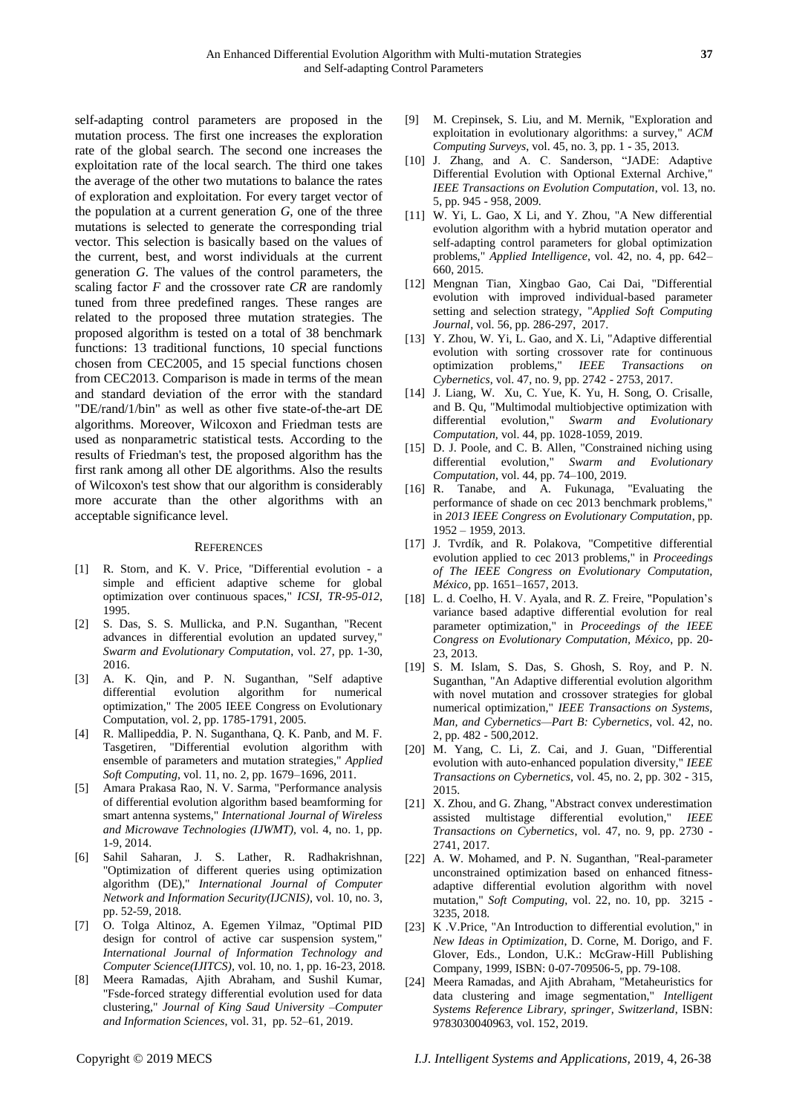self-adapting control parameters are proposed in the mutation process. The first one increases the exploration rate of the global search. The second one increases the exploitation rate of the local search. The third one takes the average of the other two mutations to balance the rates of exploration and exploitation. For every target vector of the population at a current generation *G*, one of the three mutations is selected to generate the corresponding trial vector. This selection is basically based on the values of the current, best, and worst individuals at the current generation *G*. The values of the control parameters, the scaling factor *F* and the crossover rate *CR* are randomly tuned from three predefined ranges. These ranges are related to the proposed three mutation strategies. The proposed algorithm is tested on a total of 38 benchmark functions: 13 traditional functions, 10 special functions chosen from CEC2005, and 15 special functions chosen from CEC2013. Comparison is made in terms of the mean and standard deviation of the error with the standard "DE/rand/1/bin" as well as other five state-of-the-art DE algorithms. Moreover, Wilcoxon and Friedman tests are used as nonparametric statistical tests. According to the results of Friedman's test, the proposed algorithm has the first rank among all other DE algorithms. Also the results of Wilcoxon's test show that our algorithm is considerably more accurate than the other algorithms with an acceptable significance level.

#### **REFERENCES**

- [1] R. Storn, and K. V. Price, "Differential evolution a simple and efficient adaptive scheme for global optimization over continuous spaces," *ICSI, TR-95-012*, 1995.
- [2] S. Das, S. S. Mullicka, and P.N. Suganthan, "Recent advances in differential evolution an updated survey," *Swarm and Evolutionary Computation*, vol. 27, pp. 1-30, 2016.
- [3] A. K. Qin, and P. N. Suganthan, "Self adaptive differential evolution algorithm for numerical optimization," The 2005 IEEE Congress on Evolutionary Computation, vol. 2, pp. 1785-1791, 2005.
- [4] R. Mallipeddia, P. N. Suganthana, Q. K. Panb, and M. F. Tasgetiren, "Differential evolution algorithm with ensemble of parameters and mutation strategies," *Applied Soft Computing*, vol. 11, no. 2, pp. 1679–1696, 2011.
- [5] Amara Prakasa Rao, N. V. Sarma, "Performance analysis of differential evolution algorithm based beamforming for smart antenna systems," *International Journal of Wireless and Microwave Technologies (IJWMT),* vol. 4, no. 1, pp. 1-9, 2014.
- [6] Sahil Saharan, J. S. Lather, R. Radhakrishnan, "Optimization of different queries using optimization algorithm (DE)," *International Journal of Computer Network and Information Security(IJCNIS)*, vol. 10, no. 3, pp. 52-59, 2018.
- [7] O. Tolga Altinoz, A. Egemen Yilmaz, "Optimal PID design for control of active car suspension system," *International Journal of Information Technology and Computer Science(IJITCS),* vol. 10, no. 1, pp. 16-23, 2018.
- [8] Meera Ramadas, Ajith Abraham, and Sushil Kumar, "Fsde-forced strategy differential evolution used for data clustering," *Journal of King Saud University –Computer and Information Sciences*, vol. 31, pp. 52–61, 2019.
- [10] J. Zhang, and A. C. Sanderson, "JADE: Adaptive Differential Evolution with Optional External Archive," *IEEE Transactions on Evolution Computation*, vol. 13, no. 5, pp. 945 - 958, 2009.
- [11] W. Yi, L. Gao, X Li, and Y. Zhou, "A New differential evolution algorithm with a hybrid mutation operator and self-adapting control parameters for global optimization problems," *Applied Intelligence*, vol. 42, no. 4, pp. 642– 660, 2015.
- [12] Mengnan Tian, Xingbao Gao, Cai Dai, "Differential evolution with improved individual-based parameter setting and selection strategy, "*Applied Soft Computing Journal*, vol. 56, pp. 286-297, 2017.
- [13] Y. Zhou, W. Yi, L. Gao, and X. Li, "Adaptive differential evolution with sorting crossover rate for continuous optimization problems," *IEEE Transactions on Cybernetics*, vol. 47, no. 9, pp. 2742 - 2753, 2017.
- [14] J. Liang, W. Xu, C. Yue, K. Yu, H. Song, O. Crisalle, and B. Qu, "Multimodal multiobjective optimization with differential evolution," *Swarm and Evolutionary Computation,* vol. 44, pp. 1028-1059, 2019.
- [15] D. J. Poole, and C. B. Allen, "Constrained niching using differential evolution," *Swarm and Evolutionary Computation*, vol. 44, pp. 74–100, 2019.
- [16] R. Tanabe, and A. Fukunaga, "Evaluating the performance of shade on cec 2013 benchmark problems," in *2013 IEEE Congress on Evolutionary Computation*, pp. 1952 – 1959, 2013.
- [17] J. Tvrd k, and R. Polakova, "Competitive differential evolution applied to cec 2013 problems," in *Proceedings of The IEEE Congress on Evolutionary Computation, México,* pp. 1651–1657, 2013.
- [18] L. d. Coelho, H. V. Ayala, and R. Z. Freire, "Population's variance based adaptive differential evolution for real parameter optimization," in *Proceedings of the IEEE Congress on Evolutionary Computation, México*, pp. 20- 23, 2013.
- [19] S. M. Islam, S. Das, S. Ghosh, S. Roy, and P. N. Suganthan, "An Adaptive differential evolution algorithm with novel mutation and crossover strategies for global numerical optimization," *IEEE Transactions on Systems, Man, and Cybernetics—Part B: Cybernetics*, vol. 42, no. 2, pp. 482 - 500,2012.
- [20] M. Yang, C. Li, Z. Cai, and J. Guan, "Differential evolution with auto-enhanced population diversity," *IEEE Transactions on Cybernetics,* vol. 45, no. 2, pp. 302 - 315, 2015.
- [21] X. Zhou, and G. Zhang, "Abstract convex underestimation assisted multistage differential evolution," *IEEE Transactions on Cybernetics*, vol. 47, no. 9, pp. 2730 - 2741, 2017.
- [22] A. W. Mohamed, and P. N. Suganthan, "Real-parameter unconstrained optimization based on enhanced fitnessadaptive differential evolution algorithm with novel mutation," *Soft Computing*, vol. 22, no. 10, pp. 3215 - 3235, 2018.
- [23] K .V.Price, "An Introduction to differential evolution," in *New Ideas in Optimization*, D. Corne, M. Dorigo, and F. Glover, Eds., London, U.K.: McGraw-Hill Publishing Company, 1999, ISBN: 0-07-709506-5, pp. 79-108.
- [24] Meera Ramadas, and Ajith Abraham, "Metaheuristics for data clustering and image segmentation," *Intelligent Systems Reference Library, springer, Switzerland*, ISBN: 9783030040963, vol. 152, 2019.